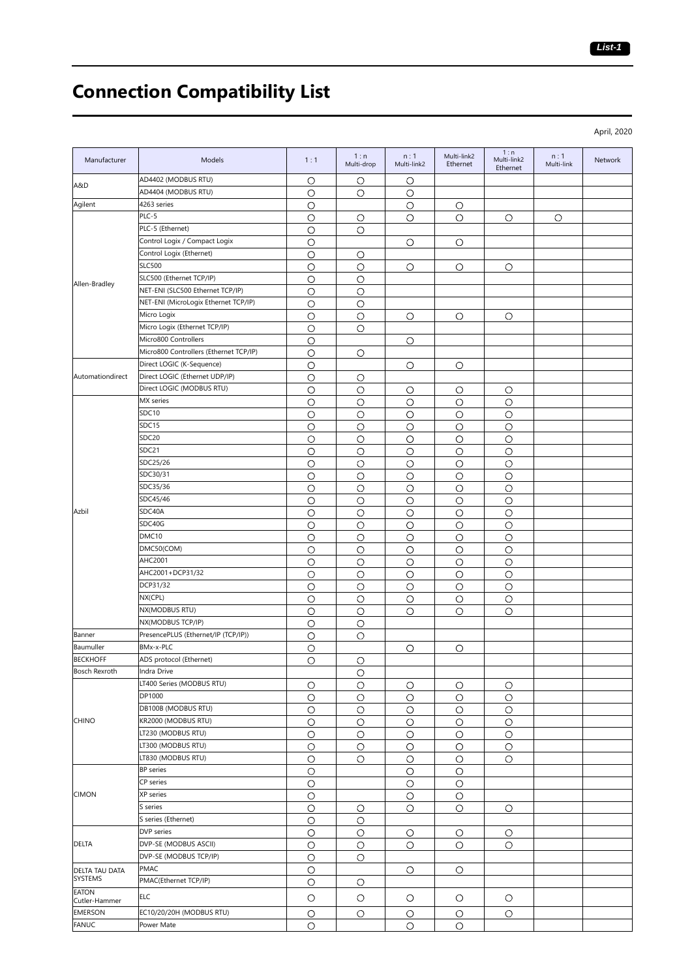## **Connection Compatibility List**

April, 2020

| Manufacturer          | Models                                 | 1:1        | 1:n<br>Multi-drop | n:1<br>Multi-link2 | Multi-link2<br>Ethernet | 1:n<br>Multi-link2<br>Ethernet | n:1<br>Multi-link | <b>Network</b> |
|-----------------------|----------------------------------------|------------|-------------------|--------------------|-------------------------|--------------------------------|-------------------|----------------|
| A&D                   | AD4402 (MODBUS RTU)                    | $\circ$    | O                 | O                  |                         |                                |                   |                |
|                       | AD4404 (MODBUS RTU)                    | О          | O                 | $\circ$            |                         |                                |                   |                |
| Agilent               | 4263 series                            | $\bigcirc$ |                   | O                  | $\circ$                 |                                |                   |                |
|                       | PLC-5                                  | $\circ$    | $\circ$           | O                  | $\circ$                 | $\circ$                        | $\circ$           |                |
|                       | PLC-5 (Ethernet)                       | $\circ$    | $\circ$           |                    |                         |                                |                   |                |
|                       | Control Logix / Compact Logix          | O          |                   | $\circ$            | O                       |                                |                   |                |
|                       | Control Logix (Ethernet)               | $\circ$    | O                 |                    |                         |                                |                   |                |
|                       | <b>SLC500</b>                          | $\circ$    | $\circ$           | O                  | O                       | О                              |                   |                |
| Allen-Bradley         | SLC500 (Ethernet TCP/IP)               | $\circ$    | $\circ$           |                    |                         |                                |                   |                |
|                       | NET-ENI (SLC500 Ethernet TCP/IP)       | $\circ$    | О                 |                    |                         |                                |                   |                |
|                       | NET-ENI (MicroLogix Ethernet TCP/IP)   | $\circ$    | $\circ$           |                    |                         |                                |                   |                |
|                       | Micro Logix                            | $\circ$    | $\circ$           | O                  | O                       | О                              |                   |                |
|                       | Micro Logix (Ethernet TCP/IP)          | $\circ$    | $\circ$           |                    |                         |                                |                   |                |
|                       | Micro800 Controllers                   | $\circ$    |                   | O                  |                         |                                |                   |                |
|                       | Micro800 Controllers (Ethernet TCP/IP) | $\circ$    | $\circ$           |                    |                         |                                |                   |                |
|                       | Direct LOGIC (K-Sequence)              | $\circ$    |                   | O                  | O                       |                                |                   |                |
| Automationdirect      | Direct LOGIC (Ethernet UDP/IP)         | $\circ$    | O                 |                    |                         |                                |                   |                |
|                       | Direct LOGIC (MODBUS RTU)              | $\circ$    | $\circ$           | O                  | $\circ$                 | О                              |                   |                |
|                       | MX series                              | $\circ$    | $\circ$           | $\circ$            | $\circ$                 | $\circ$                        |                   |                |
|                       | SDC10                                  | $\circ$    | $\circ$           | $\circ$            | $\circ$                 | $\circ$                        |                   |                |
|                       | SDC15                                  | $\circ$    | $\circ$           | $\circ$            | $\circ$                 | $\circ$                        |                   |                |
|                       | SDC <sub>20</sub>                      | $\circ$    | $\circ$           | $\circ$            | $\circ$                 | $\circ$                        |                   |                |
|                       | SDC21                                  | $\circ$    | $\circ$           | $\circ$            | $\circ$                 | O                              |                   |                |
|                       | SDC25/26                               | $\circ$    | $\circ$           | $\circ$            | $\circ$                 | O                              |                   |                |
|                       | SDC30/31                               | $\circ$    | $\circ$           | $\circ$            | $\circ$                 | О                              |                   |                |
|                       | SDC35/36                               | $\circ$    | $\circ$           | $\circ$            | $\circ$                 | $\circ$                        |                   |                |
|                       | SDC45/46                               | O          | O                 | O                  | $\circ$                 | О                              |                   |                |
| Azbil                 | SDC40A                                 | $\circ$    | $\circ$           | $\circ$            | O                       | $\circ$                        |                   |                |
|                       | SDC40G                                 | $\circ$    | $\circ$           | $\circ$            | $\circ$                 | O                              |                   |                |
|                       | DMC10                                  | $\circ$    | $\circ$           | $\circ$            | $\circ$                 | $\circ$                        |                   |                |
|                       | DMC50(COM)                             | $\circ$    | O                 | $\circ$            | $\circ$                 | O                              |                   |                |
|                       | AHC2001                                | $\circ$    | $\circ$           | O                  | $\circ$                 | O                              |                   |                |
|                       | AHC2001+DCP31/32                       | O          | $\circ$           | O                  | $\circ$                 | O                              |                   |                |
|                       | DCP31/32                               | $\circ$    | $\circ$           | $\bigcirc$         | $\circ$                 | $\circ$                        |                   |                |
|                       | NX(CPL)                                | $\circ$    | $\circ$           | $\circ$            | $\circ$                 | $\circ$                        |                   |                |
|                       | NX(MODBUS RTU)                         | $\circ$    | $\circ$           | $\circ$            | O                       | $\circ$                        |                   |                |
|                       | NX(MODBUS TCP/IP)                      | $\circ$    | $\circ$           |                    |                         |                                |                   |                |
| Banner                | PresencePLUS (Ethernet/IP (TCP/IP))    | $\circ$    | $\circ$           |                    |                         |                                |                   |                |
| Baumuller             | BMx-x-PLC                              | $\circ$    |                   | O                  | $\circ$                 |                                |                   |                |
| <b>BECKHOFF</b>       | ADS protocol (Ethernet)                | $\circ$    | O                 |                    |                         |                                |                   |                |
| <b>Bosch Rexroth</b>  | Indra Drive                            |            | $\circ$           |                    |                         |                                |                   |                |
|                       | LT400 Series (MODBUS RTU)              | O          | O                 | O                  | O                       | О                              |                   |                |
|                       | DP1000                                 | $\circ$    | $\circ$           | $\circ$            | $\circ$                 | $\circ$                        |                   |                |
|                       | DB100B (MODBUS RTU)                    | $\circ$    | $\circ$           | $\circ$            | O                       | $\bigcirc$                     |                   |                |
| <b>CHINO</b>          | KR2000 (MODBUS RTU)                    | $\circ$    | $\circ$           | O                  | $\circ$                 | $\circ$                        |                   |                |
|                       | LT230 (MODBUS RTU)                     | $\circ$    | O                 | $\circ$            | $\circ$                 | O                              |                   |                |
|                       | LT300 (MODBUS RTU)                     | $\circ$    | $\circ$           | $\circ$            | $\circ$                 | O                              |                   |                |
|                       | LT830 (MODBUS RTU)                     | $\circ$    | $\circ$           | $\circ$            | $\circ$                 | O                              |                   |                |
|                       | <b>BP</b> series                       | $\circ$    |                   | $\circ$            | $\circ$                 |                                |                   |                |
|                       | CP series                              | $\circ$    |                   | $\circ$            | $\circ$                 |                                |                   |                |
| <b>CIMON</b>          | XP series                              | $\circ$    |                   | $\circ$            | $\circ$                 |                                |                   |                |
|                       | S series                               | $\circ$    | O                 | $\circ$            | $\circ$                 | O                              |                   |                |
|                       | S series (Ethernet)                    | О          | $\circ$           |                    |                         |                                |                   |                |
|                       | DVP series                             | $\bigcirc$ | $\circ$           | $\circ$            | O                       | О                              |                   |                |
| <b>DELTA</b>          | DVP-SE (MODBUS ASCII)                  | $\circ$    | $\circ$           | O                  | $\circ$                 | О                              |                   |                |
|                       | DVP-SE (MODBUS TCP/IP)                 | $\circ$    | $\circ$           |                    |                         |                                |                   |                |
| <b>DELTA TAU DATA</b> | <b>PMAC</b>                            | $\circ$    |                   | $\circ$            | O                       |                                |                   |                |
| <b>SYSTEMS</b>        | PMAC(Ethernet TCP/IP)                  | $\circ$    | O                 |                    |                         |                                |                   |                |
| <b>EATON</b>          | <b>ELC</b>                             |            |                   |                    |                         |                                |                   |                |
| Cutler-Hammer         |                                        | $\circ$    | O                 | О                  | O                       | O                              |                   |                |
| <b>EMERSON</b>        | EC10/20/20H (MODBUS RTU)               | O          | $\circ$           | O                  | $\circ$                 | $\circ$                        |                   |                |
| <b>FANUC</b>          | Power Mate                             | $\circ$    |                   | O                  | O                       |                                |                   |                |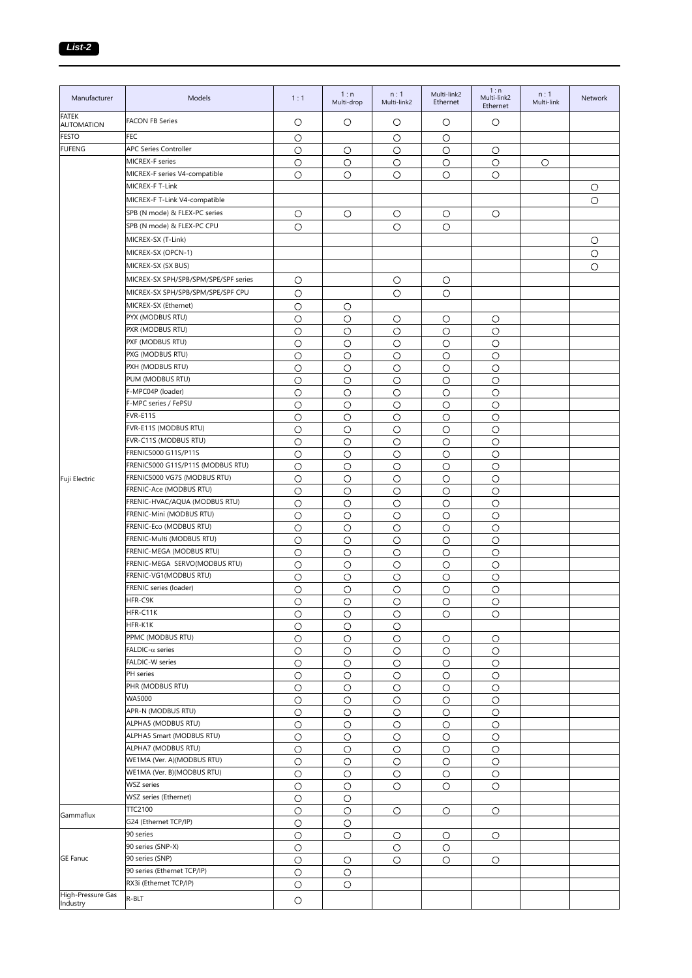| Manufacturer               | Models                                        | 1:1                | 1:n<br>Multi-drop | n:1<br>Multi-link2 | Multi-link2<br>Ethernet | 1:n<br>Multi-link2<br>Ethernet | n:1<br>Multi-link | Network |
|----------------------------|-----------------------------------------------|--------------------|-------------------|--------------------|-------------------------|--------------------------------|-------------------|---------|
| FATEK<br><b>AUTOMATION</b> | <b>FACON FB Series</b>                        | О                  | O                 | О                  | $\circ$                 | О                              |                   |         |
| <b>FESTO</b>               | <b>FEC</b>                                    | O                  |                   | О                  | $\circ$                 |                                |                   |         |
| <b>FUFENG</b>              | <b>APC Series Controller</b>                  | О                  | O                 | О                  | О                       | О                              |                   |         |
|                            | MICREX-F series                               | $\circ$            | $\circ$           | О                  | $\circ$                 | $\bigcirc$                     | $\circ$           |         |
|                            | MICREX-F series V4-compatible                 | $\circ$            | О                 | O                  | O                       | O                              |                   |         |
|                            | MICREX-F T-Link                               |                    |                   |                    |                         |                                |                   | $\circ$ |
|                            | MICREX-F T-Link V4-compatible                 |                    |                   |                    |                         |                                |                   | $\circ$ |
|                            | SPB (N mode) & FLEX-PC series                 | O                  | $\circ$           | $\circ$            | $\circ$                 | O                              |                   |         |
|                            | SPB (N mode) & FLEX-PC CPU                    | O                  |                   | O                  | O                       |                                |                   |         |
|                            | MICREX-SX (T-Link)                            |                    |                   |                    |                         |                                |                   | O       |
|                            | MICREX-SX (OPCN-1)                            |                    |                   |                    |                         |                                |                   | $\circ$ |
|                            | MICREX-SX (SX BUS)                            |                    |                   |                    |                         |                                |                   | $\circ$ |
|                            | MICREX-SX SPH/SPB/SPM/SPE/SPF series          | O                  |                   | О                  | $\circ$                 |                                |                   |         |
|                            | MICREX-SX SPH/SPB/SPM/SPE/SPF CPU             | $\circ$            |                   | O                  | $\circ$                 |                                |                   |         |
|                            | MICREX-SX (Ethernet)                          | $\circ$            | О                 |                    |                         |                                |                   |         |
|                            | PYX (MODBUS RTU)                              | $\circ$            | $\circ$           | $\circ$            | O                       | О                              |                   |         |
|                            | PXR (MODBUS RTU)                              | O                  | O                 | О                  | O                       | O                              |                   |         |
|                            | PXF (MODBUS RTU)                              | O                  | O                 | O                  | O                       | O                              |                   |         |
|                            | PXG (MODBUS RTU)                              | O                  | O                 | O                  | O                       | O                              |                   |         |
|                            | PXH (MODBUS RTU)                              | $\circ$            | $\circ$           | $\circ$            | $\circ$                 | $\circ$                        |                   |         |
|                            | PUM (MODBUS RTU)                              | $\circ$            | O                 | О                  | O                       | $\circ$                        |                   |         |
|                            | F-MPC04P (loader)                             | O                  | $\circ$           | $\circ$            | $\circ$                 | O                              |                   |         |
|                            | F-MPC series / FePSU                          | $\circ$            | O                 | $\circ$            | $\circ$                 | $\circ$                        |                   |         |
|                            | FVR-E11S                                      | $\circ$            | O                 | $\circ$            | $\circ$                 | $\circ$                        |                   |         |
|                            | FVR-E11S (MODBUS RTU)                         | $\circ$            | О                 | $\circ$            | $\circ$                 | $\circ$                        |                   |         |
|                            | FVR-C11S (MODBUS RTU)<br>FRENIC5000 G11S/P11S | $\circ$            | O                 | О                  | $\circ$                 | $\circ$                        |                   |         |
|                            | FRENIC5000 G11S/P11S (MODBUS RTU)             | $\circ$<br>$\circ$ | O<br>$\circ$      | О<br>$\circ$       | $\circ$<br>$\circ$      | O<br>$\circ$                   |                   |         |
|                            | FRENIC5000 VG7S (MODBUS RTU)                  | $\circ$            | $\circ$           | $\circ$            | $\circ$                 | $\circ$                        |                   |         |
| Fuji Electric              | FRENIC-Ace (MODBUS RTU)                       | $\circ$            | $\circ$           | $\circ$            | $\circ$                 | $\circ$                        |                   |         |
|                            | FRENIC-HVAC/AQUA (MODBUS RTU)                 | $\circ$            | $\circ$           | $\circ$            | $\circ$                 | $\circ$                        |                   |         |
|                            | FRENIC-Mini (MODBUS RTU)                      | $\circ$            | $\circ$           | $\circ$            | $\circ$                 | $\circ$                        |                   |         |
|                            | FRENIC-Eco (MODBUS RTU)                       | $\circ$            | $\circ$           | $\circ$            | $\circ$                 | $\circ$                        |                   |         |
|                            | FRENIC-Multi (MODBUS RTU)                     | O                  | $\circ$           | О                  | $\circ$                 | $\circ$                        |                   |         |
|                            | FRENIC-MEGA (MODBUS RTU)                      | $\circ$            | $\circ$           | $\circ$            | $\circ$                 | $\circ$                        |                   |         |
|                            | FRENIC-MEGA SERVO(MODBUS RTU)                 | $\circ$            | $\circ$           | $\circ$            | $\circ$                 | $\circ$                        |                   |         |
|                            | FRENIC-VG1(MODBUS RTU)                        | $\circ$            | $\bigcirc$        | $\circ$            | $\circ$                 | $\circ$                        |                   |         |
|                            | FRENIC series (loader)                        | O                  | $\circ$           | О                  | $\circ$                 | $\circ$                        |                   |         |
|                            | HFR-C9K                                       | $\circ$            | $\circ$           | $\circ$            | $\circ$                 | $\circ$                        |                   |         |
|                            | HFR-C11K                                      | O                  | О                 | О                  | O                       | О                              |                   |         |
|                            | HFR-K1K                                       | $\circ$            | $\circ$           | $\circ$            |                         |                                |                   |         |
|                            | PPMC (MODBUS RTU)                             | $\bigcirc$         | $\circ$           | $\bigcirc$         | $\circ$                 | $\circ$                        |                   |         |
|                            | FALDIC- $\alpha$ series<br>FALDIC-W series    | $\circ$            | O                 | О                  | O                       | $\circ$                        |                   |         |
|                            | PH series                                     | $\circ$<br>$\circ$ | O                 | O<br>$\circ$       | $\circ$<br>$\circ$      | $\circ$<br>$\circ$             |                   |         |
|                            | PHR (MODBUS RTU)                              | $\circ$            | O<br>$\circ$      | $\circ$            | $\circ$                 | $\circ$                        |                   |         |
|                            | WA5000                                        | $\circ$            | $\circ$           | $\circ$            | $\circ$                 | $\circ$                        |                   |         |
|                            | APR-N (MODBUS RTU)                            | $\bigcirc$         | $\circ$           | $\circ$            | $\circ$                 | $\bigcirc$                     |                   |         |
|                            | ALPHA5 (MODBUS RTU)                           | $\circ$            | $\circ$           | $\circ$            | $\circ$                 | $\circ$                        |                   |         |
|                            | ALPHA5 Smart (MODBUS RTU)                     | $\bigcirc$         | $\circ$           | $\bigcirc$         | $\circ$                 | $\circ$                        |                   |         |
|                            | ALPHA7 (MODBUS RTU)                           | $\circ$            | $\circ$           | $\bigcirc$         | $\circ$                 | $\circ$                        |                   |         |
|                            | WE1MA (Ver. A)(MODBUS RTU)                    | $\bigcirc$         | O                 | $\circ$            | O                       | $\circ$                        |                   |         |
|                            | WE1MA (Ver. B)(MODBUS RTU)                    | $\bigcirc$         | $\circ$           | $\circ$            | $\circ$                 | $\circ$                        |                   |         |
|                            | <b>WSZ</b> series                             | $\bigcirc$         | $\bigcirc$        | $\circ$            | $\bigcirc$              | $\bigcirc$                     |                   |         |
|                            | WSZ series (Ethernet)                         | $\circ$            | $\circ$           |                    |                         |                                |                   |         |
| Gammaflux                  | TTC2100                                       | $\circ$            | O                 | $\circ$            | O                       | $\bigcirc$                     |                   |         |
|                            | G24 (Ethernet TCP/IP)                         | $\bigcirc$         | O                 |                    |                         |                                |                   |         |
|                            | 90 series                                     | $\circ$            | $\circ$           | $\circ$            | $\circ$                 | O                              |                   |         |
|                            | 90 series (SNP-X)                             | $\bigcirc$         |                   | $\circ$            | $\circ$                 |                                |                   |         |
| <b>GE Fanuc</b>            | 90 series (SNP)                               | $\bigcirc$         | O                 | O                  | O                       | $\circ$                        |                   |         |
|                            | 90 series (Ethernet TCP/IP)                   | $\circ$            | О                 |                    |                         |                                |                   |         |
| High-Pressure Gas          | RX3i (Ethernet TCP/IP)                        | $\circ$            | $\circ$           |                    |                         |                                |                   |         |
| Industry                   | R-BLT                                         | $\bigcirc$         |                   |                    |                         |                                |                   |         |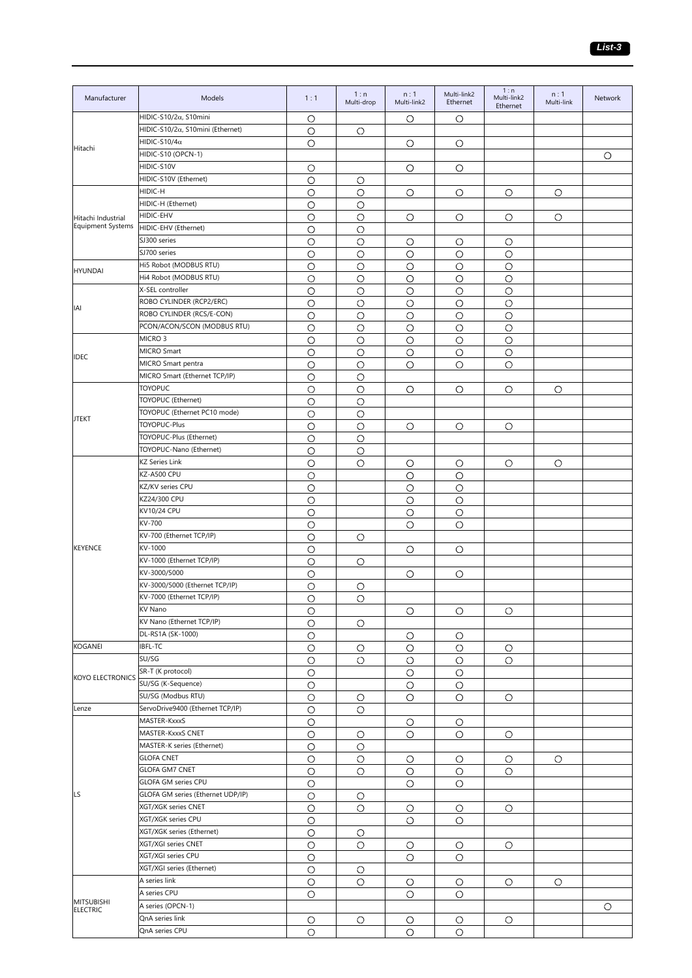| Manufacturer                         | Models                                            | 1:1                | 1:n<br>Multi-drop | n:1<br>Multi-link2 | Multi-link2<br>Ethernet | 1:n<br>Multi-link2<br>Ethernet | n:1<br>Multi-link | Network |
|--------------------------------------|---------------------------------------------------|--------------------|-------------------|--------------------|-------------------------|--------------------------------|-------------------|---------|
|                                      | HIDIC-S10/2 $\alpha$ , S10mini                    | $\circ$            |                   | $\circ$            | О                       |                                |                   |         |
|                                      | HIDIC-S10/2 $\alpha$ , S10mini (Ethernet)         | $\bigcirc$         | $\circ$           |                    |                         |                                |                   |         |
| Hitachi                              | HIDIC-S10/4 $\alpha$<br>HIDIC-S10 (OPCN-1)        | $\circ$            |                   | O                  | О                       |                                |                   |         |
|                                      | HIDIC-S10V                                        | О                  |                   | O                  | O                       |                                |                   | $\circ$ |
|                                      | HIDIC-S10V (Ethernet)                             | $\circ$            | О                 |                    |                         |                                |                   |         |
|                                      | HIDIC-H                                           | О                  | O                 | O                  | O                       | $\circ$                        | O                 |         |
|                                      | HIDIC-H (Ethernet)                                | О                  | O                 |                    |                         |                                |                   |         |
| Hitachi Industrial                   | HIDIC-EHV                                         | О                  | О                 | O                  | О                       | $\circ$                        | О                 |         |
| Equipment Systems                    | HIDIC-EHV (Ethernet)                              | $\circ$            | $\circ$           |                    |                         |                                |                   |         |
|                                      | SJ300 series                                      | $\circ$            | $\circ$           | $\circ$            | $\circ$                 | $\circ$                        |                   |         |
|                                      | SJ700 series                                      | О                  | O                 | O                  | O                       | $\circ$                        |                   |         |
| <b>HYUNDAI</b>                       | Hi5 Robot (MODBUS RTU)                            | $\circ$            | O                 | O                  | O                       | $\circ$                        |                   |         |
|                                      | Hi4 Robot (MODBUS RTU)                            | $\circ$            | $\circ$           | $\circ$            | $\circ$                 | $\circ$                        |                   |         |
|                                      | X-SEL controller                                  | $\circ$            | $\circ$           | $\circ$            | $\circ$                 | $\circ$                        |                   |         |
| IAI                                  | ROBO CYLINDER (RCP2/ERC)                          | О                  | O                 | O                  | О                       | $\circ$                        |                   |         |
|                                      | ROBO CYLINDER (RCS/E-CON)                         | $\circ$            | O                 | O                  | O                       | $\circ$                        |                   |         |
|                                      | PCON/ACON/SCON (MODBUS RTU)<br>MICRO <sub>3</sub> | О                  | O                 | O                  | O                       | $\circ$                        |                   |         |
|                                      | MICRO Smart                                       | $\circ$            | $\circ$           | $\circ$            | $\circ$                 | $\circ$                        |                   |         |
| <b>IDEC</b>                          | MICRO Smart pentra                                | $\circ$            | O                 | $\circ$            | $\circ$                 | $\circ$                        |                   |         |
|                                      | MICRO Smart (Ethernet TCP/IP)                     | $\circ$<br>$\circ$ | $\circ$<br>О      | $\circ$            | O                       | $\circ$                        |                   |         |
|                                      | <b>TOYOPUC</b>                                    | $\circ$            | $\circ$           | O                  | О                       | O                              | О                 |         |
|                                      | TOYOPUC (Ethernet)                                | O                  | $\circ$           |                    |                         |                                |                   |         |
|                                      | TOYOPUC (Ethernet PC10 mode)                      | О                  | $\circ$           |                    |                         |                                |                   |         |
| <b>JTEKT</b>                         | TOYOPUC-Plus                                      | $\circ$            | $\circ$           | O                  | O                       | $\circ$                        |                   |         |
|                                      | TOYOPUC-Plus (Ethernet)                           | $\circ$            | $\circ$           |                    |                         |                                |                   |         |
|                                      | TOYOPUC-Nano (Ethernet)                           | $\circ$            | $\circ$           |                    |                         |                                |                   |         |
|                                      | <b>KZ Series Link</b>                             | $\circ$            | О                 | O                  | О                       | O                              | О                 |         |
|                                      | KZ-A500 CPU                                       | $\circ$            |                   | $\circ$            | О                       |                                |                   |         |
|                                      | KZ/KV series CPU                                  | $\circ$            |                   | $\circ$            | $\circ$                 |                                |                   |         |
|                                      | KZ24/300 CPU                                      | $\circ$            |                   | $\circ$            | $\circ$                 |                                |                   |         |
|                                      | KV10/24 CPU                                       | O                  |                   | O                  | О                       |                                |                   |         |
|                                      | KV-700                                            | O                  |                   | O                  | O                       |                                |                   |         |
|                                      | KV-700 (Ethernet TCP/IP)                          | $\circ$            | O                 |                    |                         |                                |                   |         |
| <b>KEYENCE</b>                       | KV-1000                                           | $\circ$            |                   | $\circ$            | O                       |                                |                   |         |
|                                      | KV-1000 (Ethernet TCP/IP)<br>KV-3000/5000         | O                  | $\circ$           |                    |                         |                                |                   |         |
|                                      | KV-3000/5000 (Ethernet TCP/IP)                    | О<br>$\circ$       | О                 | $\circ$            | $\circ$                 |                                |                   |         |
|                                      | KV-7000 (Ethernet TCP/IP)                         | $\circ$            | $\circ$           |                    |                         |                                |                   |         |
|                                      | KV Nano                                           | $\circ$            |                   | O                  | О                       | O                              |                   |         |
|                                      | KV Nano (Ethernet TCP/IP)                         | О                  | O                 |                    |                         |                                |                   |         |
|                                      | DL-RS1A (SK-1000)                                 | $\circ$            |                   | О                  | О                       |                                |                   |         |
| <b>KOGANEI</b>                       | IBFL-TC                                           | $\circ$            | О                 | $\circ$            | $\circ$                 | O                              |                   |         |
|                                      | SU/SG                                             | $\circ$            | O                 | $\circ$            | $\circ$                 | $\circ$                        |                   |         |
| <b>KOYO ELECTRONICS</b>              | SR-T (K protocol)                                 | $\circ$            |                   | О                  | О                       |                                |                   |         |
|                                      | SU/SG (K-Sequence)                                | $\circ$            |                   | $\circ$            | О                       |                                |                   |         |
|                                      | SU/SG (Modbus RTU)                                | О                  | O                 | O                  | О                       | O                              |                   |         |
| Lenze                                | ServoDrive9400 (Ethernet TCP/IP)                  | $\circ$            | O                 |                    |                         |                                |                   |         |
|                                      | MASTER-KxxxS                                      | $\circ$            |                   | $\circ$            | О                       |                                |                   |         |
|                                      | MASTER-KxxxS CNET                                 | $\circ$            | О                 | $\circ$            | О                       | O                              |                   |         |
|                                      | MASTER-K series (Ethernet)                        | $\circ$            | О                 |                    |                         |                                |                   |         |
|                                      | <b>GLOFA CNET</b>                                 | $\circ$            | О                 | О                  | О                       | O                              | О                 |         |
|                                      | <b>GLOFA GM7 CNET</b><br>GLOFA GM series CPU      | $\circ$            | O                 | $\circ$            | O                       | $\circ$                        |                   |         |
| LS                                   | GLOFA GM series (Ethernet UDP/IP)                 | О<br>$\circ$       |                   | О                  | О                       |                                |                   |         |
|                                      | XGT/XGK series CNET                               | $\circ$            | O<br>O            | О                  | О                       | O                              |                   |         |
|                                      | XGT/XGK series CPU                                | $\bigcirc$         |                   | $\circ$            | $\circ$                 |                                |                   |         |
|                                      | XGT/XGK series (Ethernet)                         | $\circ$            | O                 |                    |                         |                                |                   |         |
|                                      | XGT/XGI series CNET                               | О                  | O                 | O                  | О                       | O                              |                   |         |
|                                      | XGT/XGI series CPU                                | $\circ$            |                   | O                  | О                       |                                |                   |         |
|                                      | XGT/XGI series (Ethernet)                         | $\circ$            | O                 |                    |                         |                                |                   |         |
|                                      | A series link                                     | $\circ$            | $\circ$           | O                  | О                       | O                              | O                 |         |
|                                      | A series CPU                                      | O                  |                   | O                  | О                       |                                |                   |         |
| <b>MITSUBISHI</b><br><b>ELECTRIC</b> | A series (OPCN-1)                                 |                    |                   |                    |                         |                                |                   | О       |
|                                      | QnA series link                                   | О                  | О                 | O                  | О                       | O                              |                   |         |
|                                      | QnA series CPU                                    | $\circ$            |                   | $\circ$            | O                       |                                |                   |         |
|                                      |                                                   |                    |                   |                    |                         |                                |                   |         |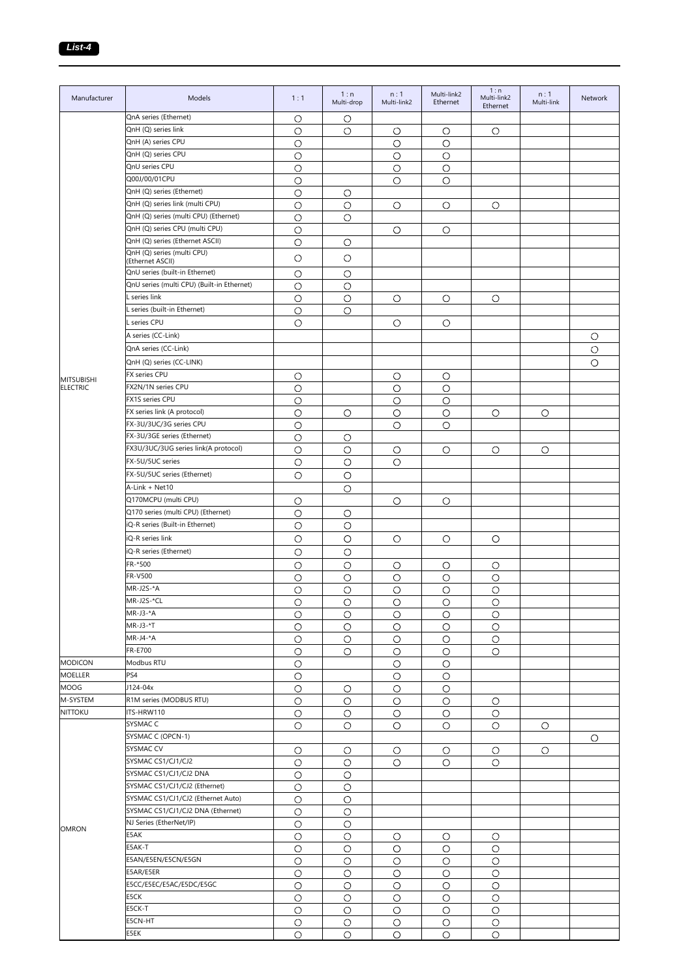| Manufacturer      | Models                                             | 1:1        | 1:n<br>Multi-drop | n:1<br>Multi-link2 | Multi-link2<br>Ethernet | 1:n<br>Multi-link2<br>Ethernet | n:1<br>Multi-link | Network |
|-------------------|----------------------------------------------------|------------|-------------------|--------------------|-------------------------|--------------------------------|-------------------|---------|
|                   | QnA series (Ethernet)                              | $\circ$    | O                 |                    |                         |                                |                   |         |
|                   | QnH (Q) series link                                | $\circ$    | $\circ$           | $\circ$            | $\circ$                 | $\circ$                        |                   |         |
|                   | QnH (A) series CPU                                 | $\circ$    |                   | $\circ$            | $\circ$                 |                                |                   |         |
|                   | QnH (Q) series CPU                                 | $\circ$    |                   | $\circ$            | $\circ$                 |                                |                   |         |
|                   | QnU series CPU                                     | $\bigcirc$ |                   | O                  | $\circ$                 |                                |                   |         |
|                   | Q00J/00/01CPU                                      | $\bigcirc$ |                   | $\circ$            | $\circ$                 |                                |                   |         |
|                   | QnH (Q) series (Ethernet)                          | $\circ$    | O                 |                    |                         |                                |                   |         |
|                   | QnH (Q) series link (multi CPU)                    | O          | O                 | О                  | O                       | О                              |                   |         |
|                   | QnH (Q) series (multi CPU) (Ethernet)              | $\circ$    | O                 |                    |                         |                                |                   |         |
|                   | QnH (Q) series CPU (multi CPU)                     | $\circ$    |                   | O                  | О                       |                                |                   |         |
|                   | QnH (Q) series (Ethernet ASCII)                    | $\circ$    | $\circ$           |                    |                         |                                |                   |         |
|                   | QnH (Q) series (multi CPU)                         | O          | $\circ$           |                    |                         |                                |                   |         |
|                   | (Ethernet ASCII)<br>QnU series (built-in Ethernet) |            |                   |                    |                         |                                |                   |         |
|                   | QnU series (multi CPU) (Built-in Ethernet)         | O          | $\circ$           |                    |                         |                                |                   |         |
|                   | L series link                                      | $\circ$    | O                 |                    |                         |                                |                   |         |
|                   | L series (built-in Ethernet)                       | $\circ$    | $\circ$           | $\circ$            | $\circ$                 | О                              |                   |         |
|                   |                                                    | $\circ$    | $\circ$           |                    |                         |                                |                   |         |
|                   | L series CPU                                       | O          |                   | O                  | $\circ$                 |                                |                   |         |
|                   | A series (CC-Link)                                 |            |                   |                    |                         |                                |                   | O       |
|                   | QnA series (CC-Link)                               |            |                   |                    |                         |                                |                   | $\circ$ |
|                   | QnH (Q) series (CC-LINK)                           |            |                   |                    |                         |                                |                   | $\circ$ |
| <b>MITSUBISHI</b> | FX series CPU                                      | О          |                   | $\circ$            | O                       |                                |                   |         |
| <b>ELECTRIC</b>   | FX2N/1N series CPU                                 | $\circ$    |                   | $\circ$            | $\circ$                 |                                |                   |         |
|                   | FX1S series CPU                                    | $\circ$    |                   | $\circ$            | $\circ$                 |                                |                   |         |
|                   | FX series link (A protocol)                        | $\circ$    | $\circ$           | О                  | $\circ$                 | О                              | $\circ$           |         |
|                   | FX-3U/3UC/3G series CPU                            | $\circ$    |                   | O                  | $\circ$                 |                                |                   |         |
|                   | FX-3U/3GE series (Ethernet)                        | $\circ$    | $\circ$           |                    |                         |                                |                   |         |
|                   | FX3U/3UC/3UG series link(A protocol)               | O          | O                 | $\circ$            | $\circ$                 | О                              | $\circ$           |         |
|                   | FX-5U/5UC series                                   | O          | O                 | О                  |                         |                                |                   |         |
|                   | FX-5U/5UC series (Ethernet)                        | $\circ$    | $\circ$           |                    |                         |                                |                   |         |
|                   | A-Link + Net10                                     |            | $\circ$           |                    |                         |                                |                   |         |
|                   | Q170MCPU (multi CPU)                               | $\circ$    |                   | $\circ$            | $\circ$                 |                                |                   |         |
|                   | Q170 series (multi CPU) (Ethernet)                 | $\circ$    | $\circ$           |                    |                         |                                |                   |         |
|                   | iQ-R series (Built-in Ethernet)                    | O          | О                 |                    |                         |                                |                   |         |
|                   | iQ-R series link                                   | $\circ$    | O                 | $\circ$            | $\circ$                 | O                              |                   |         |
|                   | iQ-R series (Ethernet)                             | $\circ$    | $\circ$           |                    |                         |                                |                   |         |
|                   | FR-*500                                            | $\circ$    | $\circ$           | О                  | $\circ$                 | О                              |                   |         |
|                   | FR-V500                                            | $\circ$    | $\bigcirc$        | $\circ$            | $\circ$                 | $\circ$                        |                   |         |
|                   | MR-J2S-*A                                          | $\circ$    | $\circ$           | $\circ$            | $\circ$                 | $\bigcirc$                     |                   |         |
|                   | MR-J2S-*CL                                         | $\circ$    | $\circ$           | $\circ$            | $\circ$                 | $\circ$                        |                   |         |
|                   | MR-J3-*A                                           | $\circ$    | O                 | $\circ$            | $\circ$                 | О                              |                   |         |
|                   | MR-J3-*T                                           | O          | O                 | О                  | О                       | О                              |                   |         |
|                   | MR-J4-*A                                           | $\bigcirc$ | $\circ$           | $\circ$            | $\circ$                 | $\circ$                        |                   |         |
|                   | FR-E700                                            | $\circ$    | O                 | $\circ$            | O                       | О                              |                   |         |
| <b>MODICON</b>    | Modbus RTU                                         | $\circ$    |                   | О                  | O                       |                                |                   |         |
| <b>MOELLER</b>    | PS4                                                | $\circ$    |                   | О                  | O                       |                                |                   |         |
| <b>MOOG</b>       | J124-04x                                           | $\circ$    | O                 | $\circ$            | $\circ$                 |                                |                   |         |
| M-SYSTEM          | R1M series (MODBUS RTU)                            | $\circ$    | O                 | $\circ$            | $\circ$                 | O                              |                   |         |
| <b>NITTOKU</b>    | ITS-HRW110                                         | $\circ$    | $\circ$           | О                  | $\circ$                 | $\circ$                        |                   |         |
|                   | SYSMAC C                                           | О          | O                 | О                  | O                       | O                              | O                 |         |
|                   | SYSMAC C (OPCN-1)                                  |            |                   |                    |                         |                                |                   | O       |
|                   | SYSMAC CV                                          | $\circ$    | O                 | O                  | $\circ$                 | О                              | O                 |         |
|                   | SYSMAC CS1/CJ1/CJ2                                 | O          | О                 | О                  | O                       | О                              |                   |         |
|                   | SYSMAC CS1/CJ1/CJ2 DNA                             | $\circ$    | О                 |                    |                         |                                |                   |         |
|                   | SYSMAC CS1/CJ1/CJ2 (Ethernet)                      | $\circ$    | O                 |                    |                         |                                |                   |         |
|                   | SYSMAC CS1/CJ1/CJ2 (Ethernet Auto)                 | $\circ$    | $\circ$           |                    |                         |                                |                   |         |
|                   | SYSMAC CS1/CJ1/CJ2 DNA (Ethernet)                  | $\circ$    | О                 |                    |                         |                                |                   |         |
|                   | NJ Series (EtherNet/IP)                            | $\circ$    | O                 |                    |                         |                                |                   |         |
| <b>OMRON</b>      | E5AK                                               | $\circ$    | O                 | О                  | O                       | О                              |                   |         |
|                   | E5AK-T                                             | $\circ$    | $\circ$           | $\circ$            | $\circ$                 | О                              |                   |         |
|                   | E5AN/E5EN/E5CN/E5GN                                | $\circ$    | O                 | O                  | $\circ$                 | O                              |                   |         |
|                   | E5AR/E5ER                                          | $\circ$    | O                 | O                  | O                       | $\circ$                        |                   |         |
|                   | E5CC/E5EC/E5AC/E5DC/E5GC                           | O          | O                 | О                  | $\circ$                 | O                              |                   |         |
|                   | E5CK                                               | $\circ$    | $\circ$           | $\circ$            | $\circ$                 | $\circ$                        |                   |         |
|                   | E5CK-T                                             | $\circ$    | $\circ$           | $\circ$            | $\circ$                 | $\circ$                        |                   |         |
|                   | E5CN-HT                                            | O          | $\circ$           | $\circ$            | O                       | $\circ$                        |                   |         |
|                   | E5EK                                               | O          | О                 | O                  | $\circ$                 | $\circ$                        |                   |         |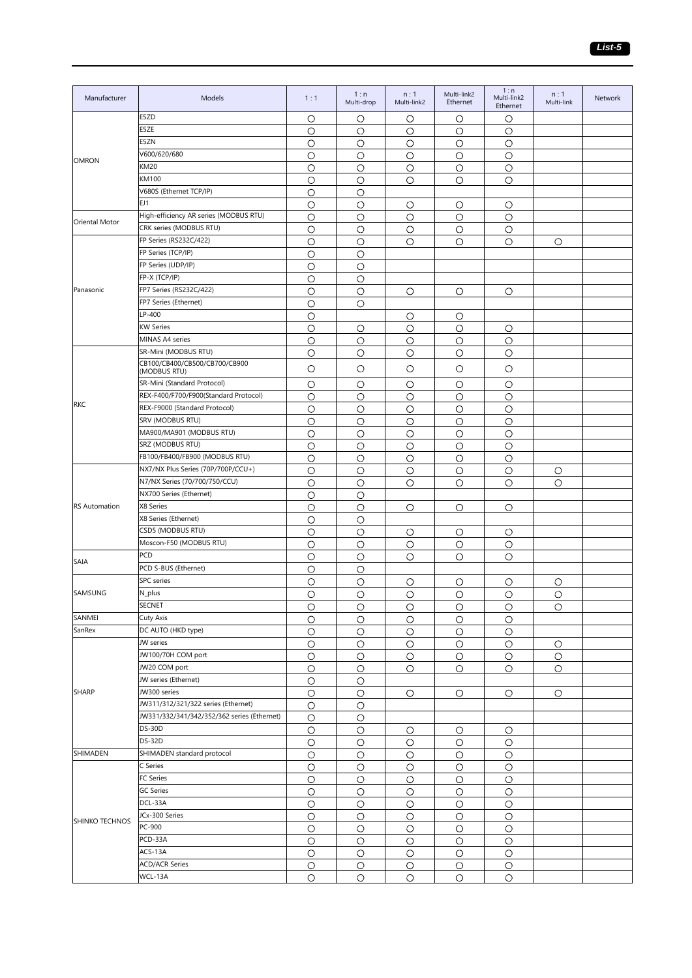| $\circ$<br>О<br>О<br>O<br>O<br>E5ZE<br>$\circ$<br>$\circ$<br>$\circ$<br>$\circ$<br>O<br>E5ZN<br>O<br>$\circ$<br>$\circ$<br>$\circ$<br>О<br>V600/620/680<br>O<br>O<br>O<br>O<br>O<br><b>OMRON</b><br>KM20<br>$\circ$<br>$\circ$<br>$\circ$<br>$\circ$<br>О<br><b>KM100</b><br>$\circ$<br>O<br>$\circ$<br>O<br>$\circ$<br>V680S (Ethernet TCP/IP)<br>$\circ$<br>О<br>EJ1<br>O<br>О<br>О<br>О<br>O<br>High-efficiency AR series (MODBUS RTU)<br>$\circ$<br>O<br>O<br>O<br>$\circ$<br>Oriental Motor<br>CRK series (MODBUS RTU)<br>$\circ$<br>$\circ$<br>$\circ$<br>O<br>$\circ$<br>FP Series (RS232C/422)<br>$\bigcirc$<br>$\circ$<br>O<br>O<br>$\circ$<br>$\circ$<br>FP Series (TCP/IP)<br>O<br>O<br>FP Series (UDP/IP)<br>$\bigcirc$<br>$\circ$<br>FP-X (TCP/IP)<br>$\circ$<br>$\circ$<br>Panasonic<br>FP7 Series (RS232C/422)<br>$\circ$<br>$\circ$<br>$\circ$<br>O<br>O<br>FP7 Series (Ethernet)<br>$\circ$<br>$\circ$<br>LP-400<br>$\circ$<br>O<br>О<br><b>KW Series</b><br>$\circ$<br>O<br>O<br>О<br>O<br>MINAS A4 series<br>$\circ$<br>$\circ$<br>$\circ$<br>O<br>$\circ$<br>SR-Mini (MODBUS RTU)<br>$\circ$<br>$\circ$<br>$\circ$<br>O<br>$\circ$<br>CB100/CB400/CB500/CB700/CB900<br>$\circ$<br>$\circ$<br>$\circ$<br>$\circ$<br>$\circ$<br>(MODBUS RTU)<br>SR-Mini (Standard Protocol)<br>$\circ$<br>O<br>O<br>О<br>O<br>REX-F400/F700/F900(Standard Protocol)<br>$\circ$<br>$\circ$<br>$\circ$<br>$\circ$<br>$\circ$<br><b>RKC</b><br>REX-F9000 (Standard Protocol)<br>$\circ$<br>$\circ$<br>$\circ$<br>$\circ$<br>$\circ$<br>SRV (MODBUS RTU)<br>$\circ$<br>O<br>O<br>O<br>$\circ$<br>MA900/MA901 (MODBUS RTU)<br>$\circ$<br>О<br>O<br>О<br>O<br>SRZ (MODBUS RTU)<br>$\bigcirc$<br>$\circ$<br>$\circ$<br>$\circ$<br>$\circ$<br>FB100/FB400/FB900 (MODBUS RTU)<br>$\circ$<br>$\circ$<br>$\circ$<br>$\circ$<br>$\circ$<br>NX7/NX Plus Series (70P/700P/CCU+)<br>$\circ$<br>O<br>O<br>O<br>$\circ$<br>О<br>N7/NX Series (70/700/750/CCU)<br>$\circ$<br>O<br>$\circ$<br>O<br>О<br>О<br>NX700 Series (Ethernet)<br>$\circ$<br>O<br><b>RS Automation</b><br>X8 Series<br>$\circ$<br>$\circ$<br>$\circ$<br>O<br>$\circ$<br>X8 Series (Ethernet)<br>$\circ$<br>O<br>CSD5 (MODBUS RTU)<br>$\circ$<br>O<br>O<br>О<br>O<br>Moscon-F50 (MODBUS RTU)<br>$\circ$<br>О<br>O<br>О<br>O<br>PCD<br>$\circ$<br>$\circ$<br>$\circ$<br>$\circ$<br>$\circ$<br>SAIA<br>PCD S-BUS (Ethernet)<br>$\circ$<br>$\circ$<br>SPC series<br>O<br>О<br>О<br>О<br>О<br>O<br>SAMSUNG<br>$\circ$<br>$\circ$<br>$\circ$<br>$\circ$<br>$\circ$<br>$\circ$<br>N_plus<br>SECNET<br>$\circ$<br>$\circ$<br>$\circ$<br>$\circ$<br>$\circ$<br>$\bigcirc$<br>SANMEI<br>Cuty Axis<br>$\circ$<br>$\circ$<br>O<br>$\circ$<br>$\circ$<br>SanRex<br>DC AUTO (HKD type)<br>$\bigcirc$<br>$\bigcirc$<br>$\bigcirc$<br>$\circ$<br>$\circ$<br>JW series<br>$\bigcirc$<br>$\bigcirc$<br>$\circ$<br>$\bigcirc$<br>$\bigcirc$<br>$\circ$<br>JW100/70H COM port<br>$\bigcirc$<br>$\bigcirc$<br>$\circ$<br>O<br>$\circ$<br>$\circ$<br>JW20 COM port<br>$\bigcirc$<br>$\circ$<br>O<br>О<br>$\circ$<br>О<br>JW series (Ethernet)<br>$\bigcirc$<br>$\circ$<br><b>SHARP</b><br>JW300 series<br>$\circ$<br>$\circ$<br>О<br>О<br>O<br>O<br>JW311/312/321/322 series (Ethernet)<br>$\bigcirc$<br>$\circ$<br>JW331/332/341/342/352/362 series (Ethernet)<br>$\bigcirc$<br>$\circ$<br><b>DS-30D</b><br>$\bigcirc$<br>$\circ$<br>$\bigcirc$<br>$\circ$<br>$\circ$<br><b>DS-32D</b><br>$\bigcirc$<br>$\bigcirc$<br>$\bigcirc$<br>$\bigcirc$<br>O<br>SHIMADEN<br>SHIMADEN standard protocol<br>$\circ$<br>$\circ$<br>$\circ$<br>$\circ$<br>$\circ$<br>C Series<br>$\bigcirc$<br>$\circ$<br>O<br>$\bigcirc$<br>$\circ$<br>FC Series<br>$\bigcirc$<br>$\circ$<br>$\bigcirc$<br>$\circ$<br>$\bigcirc$<br><b>GC Series</b><br>$\bigcirc$<br>$\circ$<br>$\circ$<br>$\circ$<br>$\circ$<br>DCL-33A<br>$\circ$<br>$\circ$<br>$\circ$<br>$\circ$<br>$\circ$<br>JCx-300 Series<br>$\bigcirc$<br>$\bigcirc$<br>$\circ$<br>$\circ$<br>$\circ$<br>SHINKO TECHNOS<br>PC-900<br>$\circ$<br>$\circ$<br>$\circ$<br>$\circ$<br>$\circ$<br>PCD-33A<br>$\bigcirc$<br>$\circ$<br>$\circ$<br>$\bigcirc$<br>$\circ$<br>ACS-13A<br>$\circ$<br>$\circ$<br>O<br>$\circ$<br>О<br><b>ACD/ACR Series</b><br>$\bigcirc$<br>$\circ$<br>$\bigcirc$<br>$\bigcirc$<br>$\circ$<br>WCL-13A<br>O<br>О<br>O<br>$\circ$<br>O | Manufacturer | Models | 1:1 | 1:n<br>Multi-drop | n:1<br>Multi-link2 | Multi-link2<br>Ethernet | 1:n<br>Multi-link2<br>Ethernet | n:1<br>Multi-link | Network |
|-------------------------------------------------------------------------------------------------------------------------------------------------------------------------------------------------------------------------------------------------------------------------------------------------------------------------------------------------------------------------------------------------------------------------------------------------------------------------------------------------------------------------------------------------------------------------------------------------------------------------------------------------------------------------------------------------------------------------------------------------------------------------------------------------------------------------------------------------------------------------------------------------------------------------------------------------------------------------------------------------------------------------------------------------------------------------------------------------------------------------------------------------------------------------------------------------------------------------------------------------------------------------------------------------------------------------------------------------------------------------------------------------------------------------------------------------------------------------------------------------------------------------------------------------------------------------------------------------------------------------------------------------------------------------------------------------------------------------------------------------------------------------------------------------------------------------------------------------------------------------------------------------------------------------------------------------------------------------------------------------------------------------------------------------------------------------------------------------------------------------------------------------------------------------------------------------------------------------------------------------------------------------------------------------------------------------------------------------------------------------------------------------------------------------------------------------------------------------------------------------------------------------------------------------------------------------------------------------------------------------------------------------------------------------------------------------------------------------------------------------------------------------------------------------------------------------------------------------------------------------------------------------------------------------------------------------------------------------------------------------------------------------------------------------------------------------------------------------------------------------------------------------------------------------------------------------------------------------------------------------------------------------------------------------------------------------------------------------------------------------------------------------------------------------------------------------------------------------------------------------------------------------------------------------------------------------------------------------------------------------------------------------------------------------------------------------------------------------------------------------------------------------------------------------------------------------------------------------------------------------------------------------------------------------------------------------------------------------------------------------------------------------------------------------------------------------------------------------------------------------------------------------------------------------------------------------------------------------------------------------------------------------------------------------------------------------|--------------|--------|-----|-------------------|--------------------|-------------------------|--------------------------------|-------------------|---------|
|                                                                                                                                                                                                                                                                                                                                                                                                                                                                                                                                                                                                                                                                                                                                                                                                                                                                                                                                                                                                                                                                                                                                                                                                                                                                                                                                                                                                                                                                                                                                                                                                                                                                                                                                                                                                                                                                                                                                                                                                                                                                                                                                                                                                                                                                                                                                                                                                                                                                                                                                                                                                                                                                                                                                                                                                                                                                                                                                                                                                                                                                                                                                                                                                                                                                                                                                                                                                                                                                                                                                                                                                                                                                                                                                                                                                                                                                                                                                                                                                                                                                                                                                                                                                                                                                                                                         |              | E5ZD   |     |                   |                    |                         |                                |                   |         |
|                                                                                                                                                                                                                                                                                                                                                                                                                                                                                                                                                                                                                                                                                                                                                                                                                                                                                                                                                                                                                                                                                                                                                                                                                                                                                                                                                                                                                                                                                                                                                                                                                                                                                                                                                                                                                                                                                                                                                                                                                                                                                                                                                                                                                                                                                                                                                                                                                                                                                                                                                                                                                                                                                                                                                                                                                                                                                                                                                                                                                                                                                                                                                                                                                                                                                                                                                                                                                                                                                                                                                                                                                                                                                                                                                                                                                                                                                                                                                                                                                                                                                                                                                                                                                                                                                                                         |              |        |     |                   |                    |                         |                                |                   |         |
|                                                                                                                                                                                                                                                                                                                                                                                                                                                                                                                                                                                                                                                                                                                                                                                                                                                                                                                                                                                                                                                                                                                                                                                                                                                                                                                                                                                                                                                                                                                                                                                                                                                                                                                                                                                                                                                                                                                                                                                                                                                                                                                                                                                                                                                                                                                                                                                                                                                                                                                                                                                                                                                                                                                                                                                                                                                                                                                                                                                                                                                                                                                                                                                                                                                                                                                                                                                                                                                                                                                                                                                                                                                                                                                                                                                                                                                                                                                                                                                                                                                                                                                                                                                                                                                                                                                         |              |        |     |                   |                    |                         |                                |                   |         |
|                                                                                                                                                                                                                                                                                                                                                                                                                                                                                                                                                                                                                                                                                                                                                                                                                                                                                                                                                                                                                                                                                                                                                                                                                                                                                                                                                                                                                                                                                                                                                                                                                                                                                                                                                                                                                                                                                                                                                                                                                                                                                                                                                                                                                                                                                                                                                                                                                                                                                                                                                                                                                                                                                                                                                                                                                                                                                                                                                                                                                                                                                                                                                                                                                                                                                                                                                                                                                                                                                                                                                                                                                                                                                                                                                                                                                                                                                                                                                                                                                                                                                                                                                                                                                                                                                                                         |              |        |     |                   |                    |                         |                                |                   |         |
|                                                                                                                                                                                                                                                                                                                                                                                                                                                                                                                                                                                                                                                                                                                                                                                                                                                                                                                                                                                                                                                                                                                                                                                                                                                                                                                                                                                                                                                                                                                                                                                                                                                                                                                                                                                                                                                                                                                                                                                                                                                                                                                                                                                                                                                                                                                                                                                                                                                                                                                                                                                                                                                                                                                                                                                                                                                                                                                                                                                                                                                                                                                                                                                                                                                                                                                                                                                                                                                                                                                                                                                                                                                                                                                                                                                                                                                                                                                                                                                                                                                                                                                                                                                                                                                                                                                         |              |        |     |                   |                    |                         |                                |                   |         |
|                                                                                                                                                                                                                                                                                                                                                                                                                                                                                                                                                                                                                                                                                                                                                                                                                                                                                                                                                                                                                                                                                                                                                                                                                                                                                                                                                                                                                                                                                                                                                                                                                                                                                                                                                                                                                                                                                                                                                                                                                                                                                                                                                                                                                                                                                                                                                                                                                                                                                                                                                                                                                                                                                                                                                                                                                                                                                                                                                                                                                                                                                                                                                                                                                                                                                                                                                                                                                                                                                                                                                                                                                                                                                                                                                                                                                                                                                                                                                                                                                                                                                                                                                                                                                                                                                                                         |              |        |     |                   |                    |                         |                                |                   |         |
|                                                                                                                                                                                                                                                                                                                                                                                                                                                                                                                                                                                                                                                                                                                                                                                                                                                                                                                                                                                                                                                                                                                                                                                                                                                                                                                                                                                                                                                                                                                                                                                                                                                                                                                                                                                                                                                                                                                                                                                                                                                                                                                                                                                                                                                                                                                                                                                                                                                                                                                                                                                                                                                                                                                                                                                                                                                                                                                                                                                                                                                                                                                                                                                                                                                                                                                                                                                                                                                                                                                                                                                                                                                                                                                                                                                                                                                                                                                                                                                                                                                                                                                                                                                                                                                                                                                         |              |        |     |                   |                    |                         |                                |                   |         |
|                                                                                                                                                                                                                                                                                                                                                                                                                                                                                                                                                                                                                                                                                                                                                                                                                                                                                                                                                                                                                                                                                                                                                                                                                                                                                                                                                                                                                                                                                                                                                                                                                                                                                                                                                                                                                                                                                                                                                                                                                                                                                                                                                                                                                                                                                                                                                                                                                                                                                                                                                                                                                                                                                                                                                                                                                                                                                                                                                                                                                                                                                                                                                                                                                                                                                                                                                                                                                                                                                                                                                                                                                                                                                                                                                                                                                                                                                                                                                                                                                                                                                                                                                                                                                                                                                                                         |              |        |     |                   |                    |                         |                                |                   |         |
|                                                                                                                                                                                                                                                                                                                                                                                                                                                                                                                                                                                                                                                                                                                                                                                                                                                                                                                                                                                                                                                                                                                                                                                                                                                                                                                                                                                                                                                                                                                                                                                                                                                                                                                                                                                                                                                                                                                                                                                                                                                                                                                                                                                                                                                                                                                                                                                                                                                                                                                                                                                                                                                                                                                                                                                                                                                                                                                                                                                                                                                                                                                                                                                                                                                                                                                                                                                                                                                                                                                                                                                                                                                                                                                                                                                                                                                                                                                                                                                                                                                                                                                                                                                                                                                                                                                         |              |        |     |                   |                    |                         |                                |                   |         |
|                                                                                                                                                                                                                                                                                                                                                                                                                                                                                                                                                                                                                                                                                                                                                                                                                                                                                                                                                                                                                                                                                                                                                                                                                                                                                                                                                                                                                                                                                                                                                                                                                                                                                                                                                                                                                                                                                                                                                                                                                                                                                                                                                                                                                                                                                                                                                                                                                                                                                                                                                                                                                                                                                                                                                                                                                                                                                                                                                                                                                                                                                                                                                                                                                                                                                                                                                                                                                                                                                                                                                                                                                                                                                                                                                                                                                                                                                                                                                                                                                                                                                                                                                                                                                                                                                                                         |              |        |     |                   |                    |                         |                                |                   |         |
|                                                                                                                                                                                                                                                                                                                                                                                                                                                                                                                                                                                                                                                                                                                                                                                                                                                                                                                                                                                                                                                                                                                                                                                                                                                                                                                                                                                                                                                                                                                                                                                                                                                                                                                                                                                                                                                                                                                                                                                                                                                                                                                                                                                                                                                                                                                                                                                                                                                                                                                                                                                                                                                                                                                                                                                                                                                                                                                                                                                                                                                                                                                                                                                                                                                                                                                                                                                                                                                                                                                                                                                                                                                                                                                                                                                                                                                                                                                                                                                                                                                                                                                                                                                                                                                                                                                         |              |        |     |                   |                    |                         |                                |                   |         |
|                                                                                                                                                                                                                                                                                                                                                                                                                                                                                                                                                                                                                                                                                                                                                                                                                                                                                                                                                                                                                                                                                                                                                                                                                                                                                                                                                                                                                                                                                                                                                                                                                                                                                                                                                                                                                                                                                                                                                                                                                                                                                                                                                                                                                                                                                                                                                                                                                                                                                                                                                                                                                                                                                                                                                                                                                                                                                                                                                                                                                                                                                                                                                                                                                                                                                                                                                                                                                                                                                                                                                                                                                                                                                                                                                                                                                                                                                                                                                                                                                                                                                                                                                                                                                                                                                                                         |              |        |     |                   |                    |                         |                                |                   |         |
|                                                                                                                                                                                                                                                                                                                                                                                                                                                                                                                                                                                                                                                                                                                                                                                                                                                                                                                                                                                                                                                                                                                                                                                                                                                                                                                                                                                                                                                                                                                                                                                                                                                                                                                                                                                                                                                                                                                                                                                                                                                                                                                                                                                                                                                                                                                                                                                                                                                                                                                                                                                                                                                                                                                                                                                                                                                                                                                                                                                                                                                                                                                                                                                                                                                                                                                                                                                                                                                                                                                                                                                                                                                                                                                                                                                                                                                                                                                                                                                                                                                                                                                                                                                                                                                                                                                         |              |        |     |                   |                    |                         |                                |                   |         |
|                                                                                                                                                                                                                                                                                                                                                                                                                                                                                                                                                                                                                                                                                                                                                                                                                                                                                                                                                                                                                                                                                                                                                                                                                                                                                                                                                                                                                                                                                                                                                                                                                                                                                                                                                                                                                                                                                                                                                                                                                                                                                                                                                                                                                                                                                                                                                                                                                                                                                                                                                                                                                                                                                                                                                                                                                                                                                                                                                                                                                                                                                                                                                                                                                                                                                                                                                                                                                                                                                                                                                                                                                                                                                                                                                                                                                                                                                                                                                                                                                                                                                                                                                                                                                                                                                                                         |              |        |     |                   |                    |                         |                                |                   |         |
|                                                                                                                                                                                                                                                                                                                                                                                                                                                                                                                                                                                                                                                                                                                                                                                                                                                                                                                                                                                                                                                                                                                                                                                                                                                                                                                                                                                                                                                                                                                                                                                                                                                                                                                                                                                                                                                                                                                                                                                                                                                                                                                                                                                                                                                                                                                                                                                                                                                                                                                                                                                                                                                                                                                                                                                                                                                                                                                                                                                                                                                                                                                                                                                                                                                                                                                                                                                                                                                                                                                                                                                                                                                                                                                                                                                                                                                                                                                                                                                                                                                                                                                                                                                                                                                                                                                         |              |        |     |                   |                    |                         |                                |                   |         |
|                                                                                                                                                                                                                                                                                                                                                                                                                                                                                                                                                                                                                                                                                                                                                                                                                                                                                                                                                                                                                                                                                                                                                                                                                                                                                                                                                                                                                                                                                                                                                                                                                                                                                                                                                                                                                                                                                                                                                                                                                                                                                                                                                                                                                                                                                                                                                                                                                                                                                                                                                                                                                                                                                                                                                                                                                                                                                                                                                                                                                                                                                                                                                                                                                                                                                                                                                                                                                                                                                                                                                                                                                                                                                                                                                                                                                                                                                                                                                                                                                                                                                                                                                                                                                                                                                                                         |              |        |     |                   |                    |                         |                                |                   |         |
|                                                                                                                                                                                                                                                                                                                                                                                                                                                                                                                                                                                                                                                                                                                                                                                                                                                                                                                                                                                                                                                                                                                                                                                                                                                                                                                                                                                                                                                                                                                                                                                                                                                                                                                                                                                                                                                                                                                                                                                                                                                                                                                                                                                                                                                                                                                                                                                                                                                                                                                                                                                                                                                                                                                                                                                                                                                                                                                                                                                                                                                                                                                                                                                                                                                                                                                                                                                                                                                                                                                                                                                                                                                                                                                                                                                                                                                                                                                                                                                                                                                                                                                                                                                                                                                                                                                         |              |        |     |                   |                    |                         |                                |                   |         |
|                                                                                                                                                                                                                                                                                                                                                                                                                                                                                                                                                                                                                                                                                                                                                                                                                                                                                                                                                                                                                                                                                                                                                                                                                                                                                                                                                                                                                                                                                                                                                                                                                                                                                                                                                                                                                                                                                                                                                                                                                                                                                                                                                                                                                                                                                                                                                                                                                                                                                                                                                                                                                                                                                                                                                                                                                                                                                                                                                                                                                                                                                                                                                                                                                                                                                                                                                                                                                                                                                                                                                                                                                                                                                                                                                                                                                                                                                                                                                                                                                                                                                                                                                                                                                                                                                                                         |              |        |     |                   |                    |                         |                                |                   |         |
|                                                                                                                                                                                                                                                                                                                                                                                                                                                                                                                                                                                                                                                                                                                                                                                                                                                                                                                                                                                                                                                                                                                                                                                                                                                                                                                                                                                                                                                                                                                                                                                                                                                                                                                                                                                                                                                                                                                                                                                                                                                                                                                                                                                                                                                                                                                                                                                                                                                                                                                                                                                                                                                                                                                                                                                                                                                                                                                                                                                                                                                                                                                                                                                                                                                                                                                                                                                                                                                                                                                                                                                                                                                                                                                                                                                                                                                                                                                                                                                                                                                                                                                                                                                                                                                                                                                         |              |        |     |                   |                    |                         |                                |                   |         |
|                                                                                                                                                                                                                                                                                                                                                                                                                                                                                                                                                                                                                                                                                                                                                                                                                                                                                                                                                                                                                                                                                                                                                                                                                                                                                                                                                                                                                                                                                                                                                                                                                                                                                                                                                                                                                                                                                                                                                                                                                                                                                                                                                                                                                                                                                                                                                                                                                                                                                                                                                                                                                                                                                                                                                                                                                                                                                                                                                                                                                                                                                                                                                                                                                                                                                                                                                                                                                                                                                                                                                                                                                                                                                                                                                                                                                                                                                                                                                                                                                                                                                                                                                                                                                                                                                                                         |              |        |     |                   |                    |                         |                                |                   |         |
|                                                                                                                                                                                                                                                                                                                                                                                                                                                                                                                                                                                                                                                                                                                                                                                                                                                                                                                                                                                                                                                                                                                                                                                                                                                                                                                                                                                                                                                                                                                                                                                                                                                                                                                                                                                                                                                                                                                                                                                                                                                                                                                                                                                                                                                                                                                                                                                                                                                                                                                                                                                                                                                                                                                                                                                                                                                                                                                                                                                                                                                                                                                                                                                                                                                                                                                                                                                                                                                                                                                                                                                                                                                                                                                                                                                                                                                                                                                                                                                                                                                                                                                                                                                                                                                                                                                         |              |        |     |                   |                    |                         |                                |                   |         |
|                                                                                                                                                                                                                                                                                                                                                                                                                                                                                                                                                                                                                                                                                                                                                                                                                                                                                                                                                                                                                                                                                                                                                                                                                                                                                                                                                                                                                                                                                                                                                                                                                                                                                                                                                                                                                                                                                                                                                                                                                                                                                                                                                                                                                                                                                                                                                                                                                                                                                                                                                                                                                                                                                                                                                                                                                                                                                                                                                                                                                                                                                                                                                                                                                                                                                                                                                                                                                                                                                                                                                                                                                                                                                                                                                                                                                                                                                                                                                                                                                                                                                                                                                                                                                                                                                                                         |              |        |     |                   |                    |                         |                                |                   |         |
|                                                                                                                                                                                                                                                                                                                                                                                                                                                                                                                                                                                                                                                                                                                                                                                                                                                                                                                                                                                                                                                                                                                                                                                                                                                                                                                                                                                                                                                                                                                                                                                                                                                                                                                                                                                                                                                                                                                                                                                                                                                                                                                                                                                                                                                                                                                                                                                                                                                                                                                                                                                                                                                                                                                                                                                                                                                                                                                                                                                                                                                                                                                                                                                                                                                                                                                                                                                                                                                                                                                                                                                                                                                                                                                                                                                                                                                                                                                                                                                                                                                                                                                                                                                                                                                                                                                         |              |        |     |                   |                    |                         |                                |                   |         |
|                                                                                                                                                                                                                                                                                                                                                                                                                                                                                                                                                                                                                                                                                                                                                                                                                                                                                                                                                                                                                                                                                                                                                                                                                                                                                                                                                                                                                                                                                                                                                                                                                                                                                                                                                                                                                                                                                                                                                                                                                                                                                                                                                                                                                                                                                                                                                                                                                                                                                                                                                                                                                                                                                                                                                                                                                                                                                                                                                                                                                                                                                                                                                                                                                                                                                                                                                                                                                                                                                                                                                                                                                                                                                                                                                                                                                                                                                                                                                                                                                                                                                                                                                                                                                                                                                                                         |              |        |     |                   |                    |                         |                                |                   |         |
|                                                                                                                                                                                                                                                                                                                                                                                                                                                                                                                                                                                                                                                                                                                                                                                                                                                                                                                                                                                                                                                                                                                                                                                                                                                                                                                                                                                                                                                                                                                                                                                                                                                                                                                                                                                                                                                                                                                                                                                                                                                                                                                                                                                                                                                                                                                                                                                                                                                                                                                                                                                                                                                                                                                                                                                                                                                                                                                                                                                                                                                                                                                                                                                                                                                                                                                                                                                                                                                                                                                                                                                                                                                                                                                                                                                                                                                                                                                                                                                                                                                                                                                                                                                                                                                                                                                         |              |        |     |                   |                    |                         |                                |                   |         |
|                                                                                                                                                                                                                                                                                                                                                                                                                                                                                                                                                                                                                                                                                                                                                                                                                                                                                                                                                                                                                                                                                                                                                                                                                                                                                                                                                                                                                                                                                                                                                                                                                                                                                                                                                                                                                                                                                                                                                                                                                                                                                                                                                                                                                                                                                                                                                                                                                                                                                                                                                                                                                                                                                                                                                                                                                                                                                                                                                                                                                                                                                                                                                                                                                                                                                                                                                                                                                                                                                                                                                                                                                                                                                                                                                                                                                                                                                                                                                                                                                                                                                                                                                                                                                                                                                                                         |              |        |     |                   |                    |                         |                                |                   |         |
|                                                                                                                                                                                                                                                                                                                                                                                                                                                                                                                                                                                                                                                                                                                                                                                                                                                                                                                                                                                                                                                                                                                                                                                                                                                                                                                                                                                                                                                                                                                                                                                                                                                                                                                                                                                                                                                                                                                                                                                                                                                                                                                                                                                                                                                                                                                                                                                                                                                                                                                                                                                                                                                                                                                                                                                                                                                                                                                                                                                                                                                                                                                                                                                                                                                                                                                                                                                                                                                                                                                                                                                                                                                                                                                                                                                                                                                                                                                                                                                                                                                                                                                                                                                                                                                                                                                         |              |        |     |                   |                    |                         |                                |                   |         |
|                                                                                                                                                                                                                                                                                                                                                                                                                                                                                                                                                                                                                                                                                                                                                                                                                                                                                                                                                                                                                                                                                                                                                                                                                                                                                                                                                                                                                                                                                                                                                                                                                                                                                                                                                                                                                                                                                                                                                                                                                                                                                                                                                                                                                                                                                                                                                                                                                                                                                                                                                                                                                                                                                                                                                                                                                                                                                                                                                                                                                                                                                                                                                                                                                                                                                                                                                                                                                                                                                                                                                                                                                                                                                                                                                                                                                                                                                                                                                                                                                                                                                                                                                                                                                                                                                                                         |              |        |     |                   |                    |                         |                                |                   |         |
|                                                                                                                                                                                                                                                                                                                                                                                                                                                                                                                                                                                                                                                                                                                                                                                                                                                                                                                                                                                                                                                                                                                                                                                                                                                                                                                                                                                                                                                                                                                                                                                                                                                                                                                                                                                                                                                                                                                                                                                                                                                                                                                                                                                                                                                                                                                                                                                                                                                                                                                                                                                                                                                                                                                                                                                                                                                                                                                                                                                                                                                                                                                                                                                                                                                                                                                                                                                                                                                                                                                                                                                                                                                                                                                                                                                                                                                                                                                                                                                                                                                                                                                                                                                                                                                                                                                         |              |        |     |                   |                    |                         |                                |                   |         |
|                                                                                                                                                                                                                                                                                                                                                                                                                                                                                                                                                                                                                                                                                                                                                                                                                                                                                                                                                                                                                                                                                                                                                                                                                                                                                                                                                                                                                                                                                                                                                                                                                                                                                                                                                                                                                                                                                                                                                                                                                                                                                                                                                                                                                                                                                                                                                                                                                                                                                                                                                                                                                                                                                                                                                                                                                                                                                                                                                                                                                                                                                                                                                                                                                                                                                                                                                                                                                                                                                                                                                                                                                                                                                                                                                                                                                                                                                                                                                                                                                                                                                                                                                                                                                                                                                                                         |              |        |     |                   |                    |                         |                                |                   |         |
|                                                                                                                                                                                                                                                                                                                                                                                                                                                                                                                                                                                                                                                                                                                                                                                                                                                                                                                                                                                                                                                                                                                                                                                                                                                                                                                                                                                                                                                                                                                                                                                                                                                                                                                                                                                                                                                                                                                                                                                                                                                                                                                                                                                                                                                                                                                                                                                                                                                                                                                                                                                                                                                                                                                                                                                                                                                                                                                                                                                                                                                                                                                                                                                                                                                                                                                                                                                                                                                                                                                                                                                                                                                                                                                                                                                                                                                                                                                                                                                                                                                                                                                                                                                                                                                                                                                         |              |        |     |                   |                    |                         |                                |                   |         |
|                                                                                                                                                                                                                                                                                                                                                                                                                                                                                                                                                                                                                                                                                                                                                                                                                                                                                                                                                                                                                                                                                                                                                                                                                                                                                                                                                                                                                                                                                                                                                                                                                                                                                                                                                                                                                                                                                                                                                                                                                                                                                                                                                                                                                                                                                                                                                                                                                                                                                                                                                                                                                                                                                                                                                                                                                                                                                                                                                                                                                                                                                                                                                                                                                                                                                                                                                                                                                                                                                                                                                                                                                                                                                                                                                                                                                                                                                                                                                                                                                                                                                                                                                                                                                                                                                                                         |              |        |     |                   |                    |                         |                                |                   |         |
|                                                                                                                                                                                                                                                                                                                                                                                                                                                                                                                                                                                                                                                                                                                                                                                                                                                                                                                                                                                                                                                                                                                                                                                                                                                                                                                                                                                                                                                                                                                                                                                                                                                                                                                                                                                                                                                                                                                                                                                                                                                                                                                                                                                                                                                                                                                                                                                                                                                                                                                                                                                                                                                                                                                                                                                                                                                                                                                                                                                                                                                                                                                                                                                                                                                                                                                                                                                                                                                                                                                                                                                                                                                                                                                                                                                                                                                                                                                                                                                                                                                                                                                                                                                                                                                                                                                         |              |        |     |                   |                    |                         |                                |                   |         |
|                                                                                                                                                                                                                                                                                                                                                                                                                                                                                                                                                                                                                                                                                                                                                                                                                                                                                                                                                                                                                                                                                                                                                                                                                                                                                                                                                                                                                                                                                                                                                                                                                                                                                                                                                                                                                                                                                                                                                                                                                                                                                                                                                                                                                                                                                                                                                                                                                                                                                                                                                                                                                                                                                                                                                                                                                                                                                                                                                                                                                                                                                                                                                                                                                                                                                                                                                                                                                                                                                                                                                                                                                                                                                                                                                                                                                                                                                                                                                                                                                                                                                                                                                                                                                                                                                                                         |              |        |     |                   |                    |                         |                                |                   |         |
|                                                                                                                                                                                                                                                                                                                                                                                                                                                                                                                                                                                                                                                                                                                                                                                                                                                                                                                                                                                                                                                                                                                                                                                                                                                                                                                                                                                                                                                                                                                                                                                                                                                                                                                                                                                                                                                                                                                                                                                                                                                                                                                                                                                                                                                                                                                                                                                                                                                                                                                                                                                                                                                                                                                                                                                                                                                                                                                                                                                                                                                                                                                                                                                                                                                                                                                                                                                                                                                                                                                                                                                                                                                                                                                                                                                                                                                                                                                                                                                                                                                                                                                                                                                                                                                                                                                         |              |        |     |                   |                    |                         |                                |                   |         |
|                                                                                                                                                                                                                                                                                                                                                                                                                                                                                                                                                                                                                                                                                                                                                                                                                                                                                                                                                                                                                                                                                                                                                                                                                                                                                                                                                                                                                                                                                                                                                                                                                                                                                                                                                                                                                                                                                                                                                                                                                                                                                                                                                                                                                                                                                                                                                                                                                                                                                                                                                                                                                                                                                                                                                                                                                                                                                                                                                                                                                                                                                                                                                                                                                                                                                                                                                                                                                                                                                                                                                                                                                                                                                                                                                                                                                                                                                                                                                                                                                                                                                                                                                                                                                                                                                                                         |              |        |     |                   |                    |                         |                                |                   |         |
|                                                                                                                                                                                                                                                                                                                                                                                                                                                                                                                                                                                                                                                                                                                                                                                                                                                                                                                                                                                                                                                                                                                                                                                                                                                                                                                                                                                                                                                                                                                                                                                                                                                                                                                                                                                                                                                                                                                                                                                                                                                                                                                                                                                                                                                                                                                                                                                                                                                                                                                                                                                                                                                                                                                                                                                                                                                                                                                                                                                                                                                                                                                                                                                                                                                                                                                                                                                                                                                                                                                                                                                                                                                                                                                                                                                                                                                                                                                                                                                                                                                                                                                                                                                                                                                                                                                         |              |        |     |                   |                    |                         |                                |                   |         |
|                                                                                                                                                                                                                                                                                                                                                                                                                                                                                                                                                                                                                                                                                                                                                                                                                                                                                                                                                                                                                                                                                                                                                                                                                                                                                                                                                                                                                                                                                                                                                                                                                                                                                                                                                                                                                                                                                                                                                                                                                                                                                                                                                                                                                                                                                                                                                                                                                                                                                                                                                                                                                                                                                                                                                                                                                                                                                                                                                                                                                                                                                                                                                                                                                                                                                                                                                                                                                                                                                                                                                                                                                                                                                                                                                                                                                                                                                                                                                                                                                                                                                                                                                                                                                                                                                                                         |              |        |     |                   |                    |                         |                                |                   |         |
|                                                                                                                                                                                                                                                                                                                                                                                                                                                                                                                                                                                                                                                                                                                                                                                                                                                                                                                                                                                                                                                                                                                                                                                                                                                                                                                                                                                                                                                                                                                                                                                                                                                                                                                                                                                                                                                                                                                                                                                                                                                                                                                                                                                                                                                                                                                                                                                                                                                                                                                                                                                                                                                                                                                                                                                                                                                                                                                                                                                                                                                                                                                                                                                                                                                                                                                                                                                                                                                                                                                                                                                                                                                                                                                                                                                                                                                                                                                                                                                                                                                                                                                                                                                                                                                                                                                         |              |        |     |                   |                    |                         |                                |                   |         |
|                                                                                                                                                                                                                                                                                                                                                                                                                                                                                                                                                                                                                                                                                                                                                                                                                                                                                                                                                                                                                                                                                                                                                                                                                                                                                                                                                                                                                                                                                                                                                                                                                                                                                                                                                                                                                                                                                                                                                                                                                                                                                                                                                                                                                                                                                                                                                                                                                                                                                                                                                                                                                                                                                                                                                                                                                                                                                                                                                                                                                                                                                                                                                                                                                                                                                                                                                                                                                                                                                                                                                                                                                                                                                                                                                                                                                                                                                                                                                                                                                                                                                                                                                                                                                                                                                                                         |              |        |     |                   |                    |                         |                                |                   |         |
|                                                                                                                                                                                                                                                                                                                                                                                                                                                                                                                                                                                                                                                                                                                                                                                                                                                                                                                                                                                                                                                                                                                                                                                                                                                                                                                                                                                                                                                                                                                                                                                                                                                                                                                                                                                                                                                                                                                                                                                                                                                                                                                                                                                                                                                                                                                                                                                                                                                                                                                                                                                                                                                                                                                                                                                                                                                                                                                                                                                                                                                                                                                                                                                                                                                                                                                                                                                                                                                                                                                                                                                                                                                                                                                                                                                                                                                                                                                                                                                                                                                                                                                                                                                                                                                                                                                         |              |        |     |                   |                    |                         |                                |                   |         |
|                                                                                                                                                                                                                                                                                                                                                                                                                                                                                                                                                                                                                                                                                                                                                                                                                                                                                                                                                                                                                                                                                                                                                                                                                                                                                                                                                                                                                                                                                                                                                                                                                                                                                                                                                                                                                                                                                                                                                                                                                                                                                                                                                                                                                                                                                                                                                                                                                                                                                                                                                                                                                                                                                                                                                                                                                                                                                                                                                                                                                                                                                                                                                                                                                                                                                                                                                                                                                                                                                                                                                                                                                                                                                                                                                                                                                                                                                                                                                                                                                                                                                                                                                                                                                                                                                                                         |              |        |     |                   |                    |                         |                                |                   |         |
|                                                                                                                                                                                                                                                                                                                                                                                                                                                                                                                                                                                                                                                                                                                                                                                                                                                                                                                                                                                                                                                                                                                                                                                                                                                                                                                                                                                                                                                                                                                                                                                                                                                                                                                                                                                                                                                                                                                                                                                                                                                                                                                                                                                                                                                                                                                                                                                                                                                                                                                                                                                                                                                                                                                                                                                                                                                                                                                                                                                                                                                                                                                                                                                                                                                                                                                                                                                                                                                                                                                                                                                                                                                                                                                                                                                                                                                                                                                                                                                                                                                                                                                                                                                                                                                                                                                         |              |        |     |                   |                    |                         |                                |                   |         |
|                                                                                                                                                                                                                                                                                                                                                                                                                                                                                                                                                                                                                                                                                                                                                                                                                                                                                                                                                                                                                                                                                                                                                                                                                                                                                                                                                                                                                                                                                                                                                                                                                                                                                                                                                                                                                                                                                                                                                                                                                                                                                                                                                                                                                                                                                                                                                                                                                                                                                                                                                                                                                                                                                                                                                                                                                                                                                                                                                                                                                                                                                                                                                                                                                                                                                                                                                                                                                                                                                                                                                                                                                                                                                                                                                                                                                                                                                                                                                                                                                                                                                                                                                                                                                                                                                                                         |              |        |     |                   |                    |                         |                                |                   |         |
|                                                                                                                                                                                                                                                                                                                                                                                                                                                                                                                                                                                                                                                                                                                                                                                                                                                                                                                                                                                                                                                                                                                                                                                                                                                                                                                                                                                                                                                                                                                                                                                                                                                                                                                                                                                                                                                                                                                                                                                                                                                                                                                                                                                                                                                                                                                                                                                                                                                                                                                                                                                                                                                                                                                                                                                                                                                                                                                                                                                                                                                                                                                                                                                                                                                                                                                                                                                                                                                                                                                                                                                                                                                                                                                                                                                                                                                                                                                                                                                                                                                                                                                                                                                                                                                                                                                         |              |        |     |                   |                    |                         |                                |                   |         |
|                                                                                                                                                                                                                                                                                                                                                                                                                                                                                                                                                                                                                                                                                                                                                                                                                                                                                                                                                                                                                                                                                                                                                                                                                                                                                                                                                                                                                                                                                                                                                                                                                                                                                                                                                                                                                                                                                                                                                                                                                                                                                                                                                                                                                                                                                                                                                                                                                                                                                                                                                                                                                                                                                                                                                                                                                                                                                                                                                                                                                                                                                                                                                                                                                                                                                                                                                                                                                                                                                                                                                                                                                                                                                                                                                                                                                                                                                                                                                                                                                                                                                                                                                                                                                                                                                                                         |              |        |     |                   |                    |                         |                                |                   |         |
|                                                                                                                                                                                                                                                                                                                                                                                                                                                                                                                                                                                                                                                                                                                                                                                                                                                                                                                                                                                                                                                                                                                                                                                                                                                                                                                                                                                                                                                                                                                                                                                                                                                                                                                                                                                                                                                                                                                                                                                                                                                                                                                                                                                                                                                                                                                                                                                                                                                                                                                                                                                                                                                                                                                                                                                                                                                                                                                                                                                                                                                                                                                                                                                                                                                                                                                                                                                                                                                                                                                                                                                                                                                                                                                                                                                                                                                                                                                                                                                                                                                                                                                                                                                                                                                                                                                         |              |        |     |                   |                    |                         |                                |                   |         |
|                                                                                                                                                                                                                                                                                                                                                                                                                                                                                                                                                                                                                                                                                                                                                                                                                                                                                                                                                                                                                                                                                                                                                                                                                                                                                                                                                                                                                                                                                                                                                                                                                                                                                                                                                                                                                                                                                                                                                                                                                                                                                                                                                                                                                                                                                                                                                                                                                                                                                                                                                                                                                                                                                                                                                                                                                                                                                                                                                                                                                                                                                                                                                                                                                                                                                                                                                                                                                                                                                                                                                                                                                                                                                                                                                                                                                                                                                                                                                                                                                                                                                                                                                                                                                                                                                                                         |              |        |     |                   |                    |                         |                                |                   |         |
|                                                                                                                                                                                                                                                                                                                                                                                                                                                                                                                                                                                                                                                                                                                                                                                                                                                                                                                                                                                                                                                                                                                                                                                                                                                                                                                                                                                                                                                                                                                                                                                                                                                                                                                                                                                                                                                                                                                                                                                                                                                                                                                                                                                                                                                                                                                                                                                                                                                                                                                                                                                                                                                                                                                                                                                                                                                                                                                                                                                                                                                                                                                                                                                                                                                                                                                                                                                                                                                                                                                                                                                                                                                                                                                                                                                                                                                                                                                                                                                                                                                                                                                                                                                                                                                                                                                         |              |        |     |                   |                    |                         |                                |                   |         |
|                                                                                                                                                                                                                                                                                                                                                                                                                                                                                                                                                                                                                                                                                                                                                                                                                                                                                                                                                                                                                                                                                                                                                                                                                                                                                                                                                                                                                                                                                                                                                                                                                                                                                                                                                                                                                                                                                                                                                                                                                                                                                                                                                                                                                                                                                                                                                                                                                                                                                                                                                                                                                                                                                                                                                                                                                                                                                                                                                                                                                                                                                                                                                                                                                                                                                                                                                                                                                                                                                                                                                                                                                                                                                                                                                                                                                                                                                                                                                                                                                                                                                                                                                                                                                                                                                                                         |              |        |     |                   |                    |                         |                                |                   |         |
|                                                                                                                                                                                                                                                                                                                                                                                                                                                                                                                                                                                                                                                                                                                                                                                                                                                                                                                                                                                                                                                                                                                                                                                                                                                                                                                                                                                                                                                                                                                                                                                                                                                                                                                                                                                                                                                                                                                                                                                                                                                                                                                                                                                                                                                                                                                                                                                                                                                                                                                                                                                                                                                                                                                                                                                                                                                                                                                                                                                                                                                                                                                                                                                                                                                                                                                                                                                                                                                                                                                                                                                                                                                                                                                                                                                                                                                                                                                                                                                                                                                                                                                                                                                                                                                                                                                         |              |        |     |                   |                    |                         |                                |                   |         |
|                                                                                                                                                                                                                                                                                                                                                                                                                                                                                                                                                                                                                                                                                                                                                                                                                                                                                                                                                                                                                                                                                                                                                                                                                                                                                                                                                                                                                                                                                                                                                                                                                                                                                                                                                                                                                                                                                                                                                                                                                                                                                                                                                                                                                                                                                                                                                                                                                                                                                                                                                                                                                                                                                                                                                                                                                                                                                                                                                                                                                                                                                                                                                                                                                                                                                                                                                                                                                                                                                                                                                                                                                                                                                                                                                                                                                                                                                                                                                                                                                                                                                                                                                                                                                                                                                                                         |              |        |     |                   |                    |                         |                                |                   |         |
|                                                                                                                                                                                                                                                                                                                                                                                                                                                                                                                                                                                                                                                                                                                                                                                                                                                                                                                                                                                                                                                                                                                                                                                                                                                                                                                                                                                                                                                                                                                                                                                                                                                                                                                                                                                                                                                                                                                                                                                                                                                                                                                                                                                                                                                                                                                                                                                                                                                                                                                                                                                                                                                                                                                                                                                                                                                                                                                                                                                                                                                                                                                                                                                                                                                                                                                                                                                                                                                                                                                                                                                                                                                                                                                                                                                                                                                                                                                                                                                                                                                                                                                                                                                                                                                                                                                         |              |        |     |                   |                    |                         |                                |                   |         |
|                                                                                                                                                                                                                                                                                                                                                                                                                                                                                                                                                                                                                                                                                                                                                                                                                                                                                                                                                                                                                                                                                                                                                                                                                                                                                                                                                                                                                                                                                                                                                                                                                                                                                                                                                                                                                                                                                                                                                                                                                                                                                                                                                                                                                                                                                                                                                                                                                                                                                                                                                                                                                                                                                                                                                                                                                                                                                                                                                                                                                                                                                                                                                                                                                                                                                                                                                                                                                                                                                                                                                                                                                                                                                                                                                                                                                                                                                                                                                                                                                                                                                                                                                                                                                                                                                                                         |              |        |     |                   |                    |                         |                                |                   |         |
|                                                                                                                                                                                                                                                                                                                                                                                                                                                                                                                                                                                                                                                                                                                                                                                                                                                                                                                                                                                                                                                                                                                                                                                                                                                                                                                                                                                                                                                                                                                                                                                                                                                                                                                                                                                                                                                                                                                                                                                                                                                                                                                                                                                                                                                                                                                                                                                                                                                                                                                                                                                                                                                                                                                                                                                                                                                                                                                                                                                                                                                                                                                                                                                                                                                                                                                                                                                                                                                                                                                                                                                                                                                                                                                                                                                                                                                                                                                                                                                                                                                                                                                                                                                                                                                                                                                         |              |        |     |                   |                    |                         |                                |                   |         |
|                                                                                                                                                                                                                                                                                                                                                                                                                                                                                                                                                                                                                                                                                                                                                                                                                                                                                                                                                                                                                                                                                                                                                                                                                                                                                                                                                                                                                                                                                                                                                                                                                                                                                                                                                                                                                                                                                                                                                                                                                                                                                                                                                                                                                                                                                                                                                                                                                                                                                                                                                                                                                                                                                                                                                                                                                                                                                                                                                                                                                                                                                                                                                                                                                                                                                                                                                                                                                                                                                                                                                                                                                                                                                                                                                                                                                                                                                                                                                                                                                                                                                                                                                                                                                                                                                                                         |              |        |     |                   |                    |                         |                                |                   |         |
|                                                                                                                                                                                                                                                                                                                                                                                                                                                                                                                                                                                                                                                                                                                                                                                                                                                                                                                                                                                                                                                                                                                                                                                                                                                                                                                                                                                                                                                                                                                                                                                                                                                                                                                                                                                                                                                                                                                                                                                                                                                                                                                                                                                                                                                                                                                                                                                                                                                                                                                                                                                                                                                                                                                                                                                                                                                                                                                                                                                                                                                                                                                                                                                                                                                                                                                                                                                                                                                                                                                                                                                                                                                                                                                                                                                                                                                                                                                                                                                                                                                                                                                                                                                                                                                                                                                         |              |        |     |                   |                    |                         |                                |                   |         |
|                                                                                                                                                                                                                                                                                                                                                                                                                                                                                                                                                                                                                                                                                                                                                                                                                                                                                                                                                                                                                                                                                                                                                                                                                                                                                                                                                                                                                                                                                                                                                                                                                                                                                                                                                                                                                                                                                                                                                                                                                                                                                                                                                                                                                                                                                                                                                                                                                                                                                                                                                                                                                                                                                                                                                                                                                                                                                                                                                                                                                                                                                                                                                                                                                                                                                                                                                                                                                                                                                                                                                                                                                                                                                                                                                                                                                                                                                                                                                                                                                                                                                                                                                                                                                                                                                                                         |              |        |     |                   |                    |                         |                                |                   |         |
|                                                                                                                                                                                                                                                                                                                                                                                                                                                                                                                                                                                                                                                                                                                                                                                                                                                                                                                                                                                                                                                                                                                                                                                                                                                                                                                                                                                                                                                                                                                                                                                                                                                                                                                                                                                                                                                                                                                                                                                                                                                                                                                                                                                                                                                                                                                                                                                                                                                                                                                                                                                                                                                                                                                                                                                                                                                                                                                                                                                                                                                                                                                                                                                                                                                                                                                                                                                                                                                                                                                                                                                                                                                                                                                                                                                                                                                                                                                                                                                                                                                                                                                                                                                                                                                                                                                         |              |        |     |                   |                    |                         |                                |                   |         |
|                                                                                                                                                                                                                                                                                                                                                                                                                                                                                                                                                                                                                                                                                                                                                                                                                                                                                                                                                                                                                                                                                                                                                                                                                                                                                                                                                                                                                                                                                                                                                                                                                                                                                                                                                                                                                                                                                                                                                                                                                                                                                                                                                                                                                                                                                                                                                                                                                                                                                                                                                                                                                                                                                                                                                                                                                                                                                                                                                                                                                                                                                                                                                                                                                                                                                                                                                                                                                                                                                                                                                                                                                                                                                                                                                                                                                                                                                                                                                                                                                                                                                                                                                                                                                                                                                                                         |              |        |     |                   |                    |                         |                                |                   |         |
|                                                                                                                                                                                                                                                                                                                                                                                                                                                                                                                                                                                                                                                                                                                                                                                                                                                                                                                                                                                                                                                                                                                                                                                                                                                                                                                                                                                                                                                                                                                                                                                                                                                                                                                                                                                                                                                                                                                                                                                                                                                                                                                                                                                                                                                                                                                                                                                                                                                                                                                                                                                                                                                                                                                                                                                                                                                                                                                                                                                                                                                                                                                                                                                                                                                                                                                                                                                                                                                                                                                                                                                                                                                                                                                                                                                                                                                                                                                                                                                                                                                                                                                                                                                                                                                                                                                         |              |        |     |                   |                    |                         |                                |                   |         |
|                                                                                                                                                                                                                                                                                                                                                                                                                                                                                                                                                                                                                                                                                                                                                                                                                                                                                                                                                                                                                                                                                                                                                                                                                                                                                                                                                                                                                                                                                                                                                                                                                                                                                                                                                                                                                                                                                                                                                                                                                                                                                                                                                                                                                                                                                                                                                                                                                                                                                                                                                                                                                                                                                                                                                                                                                                                                                                                                                                                                                                                                                                                                                                                                                                                                                                                                                                                                                                                                                                                                                                                                                                                                                                                                                                                                                                                                                                                                                                                                                                                                                                                                                                                                                                                                                                                         |              |        |     |                   |                    |                         |                                |                   |         |
|                                                                                                                                                                                                                                                                                                                                                                                                                                                                                                                                                                                                                                                                                                                                                                                                                                                                                                                                                                                                                                                                                                                                                                                                                                                                                                                                                                                                                                                                                                                                                                                                                                                                                                                                                                                                                                                                                                                                                                                                                                                                                                                                                                                                                                                                                                                                                                                                                                                                                                                                                                                                                                                                                                                                                                                                                                                                                                                                                                                                                                                                                                                                                                                                                                                                                                                                                                                                                                                                                                                                                                                                                                                                                                                                                                                                                                                                                                                                                                                                                                                                                                                                                                                                                                                                                                                         |              |        |     |                   |                    |                         |                                |                   |         |
|                                                                                                                                                                                                                                                                                                                                                                                                                                                                                                                                                                                                                                                                                                                                                                                                                                                                                                                                                                                                                                                                                                                                                                                                                                                                                                                                                                                                                                                                                                                                                                                                                                                                                                                                                                                                                                                                                                                                                                                                                                                                                                                                                                                                                                                                                                                                                                                                                                                                                                                                                                                                                                                                                                                                                                                                                                                                                                                                                                                                                                                                                                                                                                                                                                                                                                                                                                                                                                                                                                                                                                                                                                                                                                                                                                                                                                                                                                                                                                                                                                                                                                                                                                                                                                                                                                                         |              |        |     |                   |                    |                         |                                |                   |         |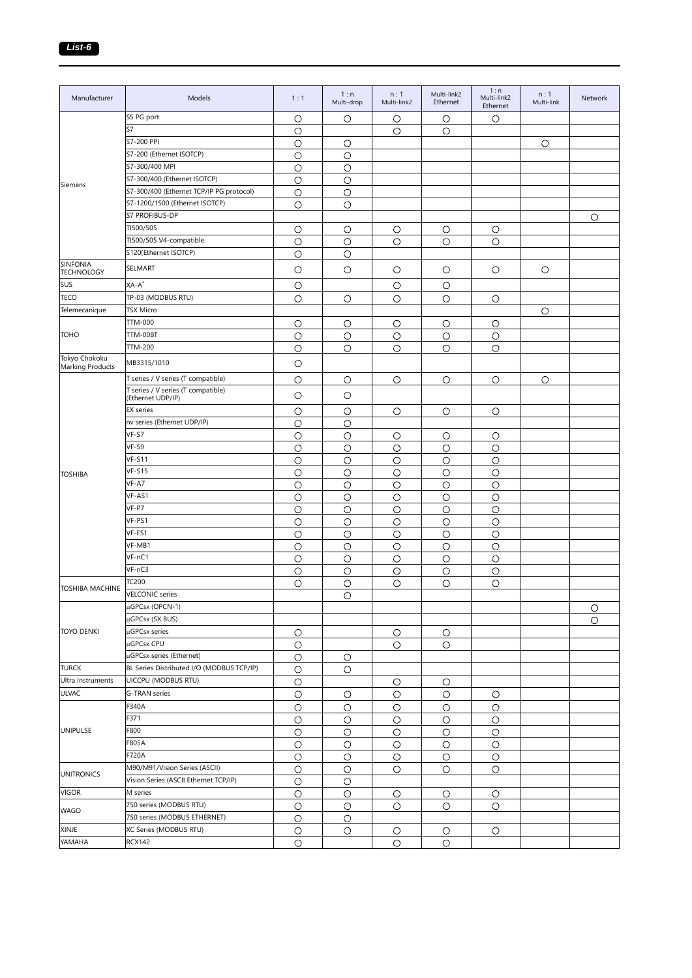| Manufacturer                         | Models                                                  | 1:1        | 1:n<br>Multi-drop | n:1<br>Multi-link2 | Multi-link2<br>Ethernet | 1:n<br>Multi-link2<br>Ethernet | n:1<br>Multi-link | Network |
|--------------------------------------|---------------------------------------------------------|------------|-------------------|--------------------|-------------------------|--------------------------------|-------------------|---------|
|                                      | S5 PG port                                              | $\circ$    | O                 | О                  | O                       | O                              |                   |         |
|                                      | S7                                                      | $\circ$    |                   | $\circ$            | О                       |                                |                   |         |
|                                      | S7-200 PPI                                              | $\bigcirc$ | $\circ$           |                    |                         |                                | $\bigcirc$        |         |
|                                      | S7-200 (Ethernet ISOTCP)                                | $\circ$    | $\circ$           |                    |                         |                                |                   |         |
|                                      | S7-300/400 MPI                                          | $\circ$    | $\circ$           |                    |                         |                                |                   |         |
|                                      | S7-300/400 (Ethernet ISOTCP)                            | $\circ$    | O                 |                    |                         |                                |                   |         |
| Siemens                              | S7-300/400 (Ethernet TCP/IP PG protocol)                | $\circ$    | $\circ$           |                    |                         |                                |                   |         |
|                                      | S7-1200/1500 (Ethernet ISOTCP)                          | $\circ$    | $\circ$           |                    |                         |                                |                   |         |
|                                      | S7 PROFIBUS-DP                                          |            |                   |                    |                         |                                |                   | $\circ$ |
|                                      | TI500/505                                               | $\circ$    | $\circ$           | O                  | $\circ$                 | O                              |                   |         |
|                                      | TI500/505 V4-compatible                                 | $\circ$    | $\circ$           | $\circ$            | O                       | $\circ$                        |                   |         |
|                                      | S120(Ethernet ISOTCP)                                   | $\circ$    | О                 |                    |                         |                                |                   |         |
| <b>SINFONIA</b><br><b>TECHNOLOGY</b> | SELMART                                                 | $\circ$    | O                 | $\circ$            | $\circ$                 | $\circ$                        | $\circ$           |         |
| SUS                                  | $XA-A^*$                                                | $\circ$    |                   | O                  | О                       |                                |                   |         |
| <b>TECO</b>                          | TP-03 (MODBUS RTU)                                      |            |                   |                    |                         |                                |                   |         |
| Telemecanique                        | TSX Micro                                               | O          | О                 | O                  | O                       | O                              |                   |         |
|                                      | TTM-000                                                 |            |                   |                    |                         |                                | $\circ$           |         |
|                                      |                                                         | $\circ$    | О                 | $\circ$            | $\circ$                 | O                              |                   |         |
| <b>TOHO</b>                          | TTM-00BT                                                | $\circ$    | $\circ$           | O                  | $\circ$                 | $\circ$                        |                   |         |
| Tokyo Chokoku                        | <b>TTM-200</b>                                          | $\circ$    | О                 | O                  | О                       | O                              |                   |         |
| <b>Marking Products</b>              | MB3315/1010                                             | $\circ$    |                   |                    |                         |                                |                   |         |
|                                      | T series / V series (T compatible)                      | $\circ$    | $\circ$           | O                  | $\circ$                 | O                              | O                 |         |
|                                      | T series / V series (T compatible)<br>(Ethernet UDP/IP) | $\circ$    | O                 |                    |                         |                                |                   |         |
|                                      | <b>EX</b> series                                        | $\circ$    | O                 | O                  | O                       | O                              |                   |         |
|                                      | nv series (Ethernet UDP/IP)                             | $\circ$    | $\bigcirc$        |                    |                         |                                |                   |         |
|                                      | VF-S7                                                   | $\bigcirc$ | $\bigcirc$        | $\circ$            | $\circ$                 | $\circ$                        |                   |         |
|                                      | VF-S9                                                   | $\circ$    | $\circ$           | $\circ$            | $\circ$                 | $\circ$                        |                   |         |
|                                      | <b>VF-S11</b>                                           | $\circ$    | $\circ$           | О                  | О                       | $\circ$                        |                   |         |
| <b>TOSHIBA</b>                       | <b>VF-S15</b>                                           | $\circ$    | $\circ$           | $\circ$            | $\circ$                 | $\circ$                        |                   |         |
|                                      | VF-A7                                                   | $\circ$    | $\circ$           | $\circ$            | $\circ$                 | $\circ$                        |                   |         |
|                                      | VF-AS1                                                  | $\circ$    | О                 | О                  | О                       | $\circ$                        |                   |         |
|                                      | VF-P7                                                   | $\circ$    | $\circ$           | $\circ$            | $\bigcirc$              | $\circ$                        |                   |         |
|                                      | VF-PS1                                                  | $\circ$    | $\circ$           | $\circ$            | $\circ$                 | $\circ$                        |                   |         |
|                                      | VF-FS1                                                  | $\circ$    | $\circ$           | $\circ$            | $\bigcirc$              | $\circ$                        |                   |         |
|                                      | VF-MB1                                                  | $\circ$    | $\circ$           | O                  | $\circ$                 | $\circ$                        |                   |         |
|                                      | VF-nC1                                                  | $\circ$    | O                 | О                  | О                       | О                              |                   |         |
|                                      | $VF-nC3$                                                | $\circ$    | $\circ$           | $\circ$            | О                       | $\circ$                        |                   |         |
|                                      | TC200                                                   | $\circ$    | $\circ$           | $\circ$            | O                       | O                              |                   |         |
| <b>TOSHIBA MACHINE</b>               | <b>VELCONIC</b> series                                  |            | O                 |                    |                         |                                |                   |         |
|                                      | µGPCsx (OPCN-1)                                         |            |                   |                    |                         |                                |                   | $\circ$ |
|                                      | µGPCsx (SX BUS)                                         |            |                   |                    |                         |                                |                   | $\circ$ |
| <b>TOYO DENKI</b>                    | µGPCsx series                                           | $\circ$    |                   | $\circ$            | O                       |                                |                   |         |
|                                      | µGPCsx CPU                                              | $\circ$    |                   | $\circ$            | $\circ$                 |                                |                   |         |
|                                      | µGPCsx series (Ethernet)                                | $\circ$    | O                 |                    |                         |                                |                   |         |
| <b>TURCK</b>                         | BL Series Distributed I/O (MODBUS TCP/IP)               | $\bigcirc$ | $\circ$           |                    |                         |                                |                   |         |
| Ultra Instruments                    | UICCPU (MODBUS RTU)                                     | $\circ$    |                   | О                  | O                       |                                |                   |         |
| <b>ULVAC</b>                         | G-TRAN series                                           | $\bigcirc$ | $\circ$           | $\circ$            | $\circ$                 | O                              |                   |         |
|                                      | F340A                                                   |            |                   |                    |                         |                                |                   |         |
|                                      | F371                                                    | $\bigcirc$ | $\circ$           | $\circ$            | $\circ$                 | $\circ$                        |                   |         |
|                                      |                                                         | $\bigcirc$ | $\circ$           | $\bigcirc$         | $\circ$                 | $\circ$                        |                   |         |
| <b>UNIPULSE</b>                      | F800                                                    | $\bigcirc$ | $\circ$           | $\bigcirc$         | $\circ$                 | $\circ$                        |                   |         |
|                                      | F805A                                                   | $\circ$    | $\circ$           | $\circ$            | $\circ$                 | $\circ$                        |                   |         |
|                                      | F720A                                                   | $\bigcirc$ | $\bigcirc$        | $\circ$            | $\bigcirc$              | $\circ$                        |                   |         |
| <b>UNITRONICS</b>                    | M90/M91/Vision Series (ASCII)                           | $\circ$    | $\circ$           | O                  | $\circ$                 | $\bigcirc$                     |                   |         |
|                                      | Vision Series (ASCII Ethernet TCP/IP)                   | $\circ$    | O                 |                    |                         |                                |                   |         |
| <b>VIGOR</b>                         | M series                                                | $\bigcirc$ | $\circ$           | $\circ$            | $\circ$                 | O                              |                   |         |
| <b>WAGO</b>                          | 750 series (MODBUS RTU)                                 | $\bigcirc$ | $\circ$           | $\circ$            | $\circ$                 | $\circ$                        |                   |         |
|                                      | 750 series (MODBUS ETHERNET)                            | $\bigcirc$ | $\circ$           |                    |                         |                                |                   |         |
| <b>XINJE</b>                         | XC Series (MODBUS RTU)                                  | $\bigcirc$ | $\circ$           | $\circ$            | $\circ$                 | $\circ$                        |                   |         |
| YAMAHA                               | RCX142                                                  | $\bigcirc$ |                   | $\bigcirc$         | $\circ$                 |                                |                   |         |